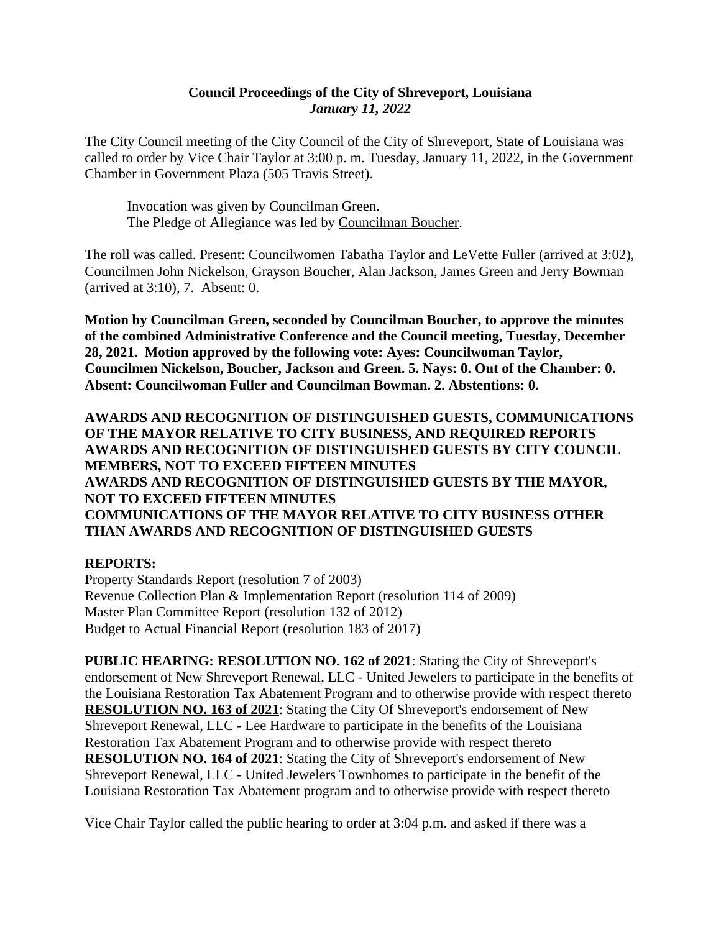## **Council Proceedings of the City of Shreveport, Louisiana** *January 11, 2022*

The City Council meeting of the City Council of the City of Shreveport, State of Louisiana was called to order by Vice Chair Taylor at 3:00 p. m. Tuesday, January 11, 2022, in the Government Chamber in Government Plaza (505 Travis Street).

Invocation was given by Councilman Green. The Pledge of Allegiance was led by Councilman Boucher.

The roll was called. Present: Councilwomen Tabatha Taylor and LeVette Fuller (arrived at 3:02), Councilmen John Nickelson, Grayson Boucher, Alan Jackson, James Green and Jerry Bowman (arrived at 3:10), 7. Absent: 0.

**Motion by Councilman Green, seconded by Councilman Boucher, to approve the minutes of the combined Administrative Conference and the Council meeting, Tuesday, December 28, 2021. Motion approved by the following vote: Ayes: Councilwoman Taylor, Councilmen Nickelson, Boucher, Jackson and Green. 5. Nays: 0. Out of the Chamber: 0. Absent: Councilwoman Fuller and Councilman Bowman. 2. Abstentions: 0.** 

**AWARDS AND RECOGNITION OF DISTINGUISHED GUESTS, COMMUNICATIONS OF THE MAYOR RELATIVE TO CITY BUSINESS, AND REQUIRED REPORTS AWARDS AND RECOGNITION OF DISTINGUISHED GUESTS BY CITY COUNCIL MEMBERS, NOT TO EXCEED FIFTEEN MINUTES AWARDS AND RECOGNITION OF DISTINGUISHED GUESTS BY THE MAYOR, NOT TO EXCEED FIFTEEN MINUTES COMMUNICATIONS OF THE MAYOR RELATIVE TO CITY BUSINESS OTHER THAN AWARDS AND RECOGNITION OF DISTINGUISHED GUESTS**

#### **REPORTS:**

Property Standards Report (resolution 7 of 2003) Revenue Collection Plan & Implementation Report (resolution 114 of 2009) Master Plan Committee Report (resolution 132 of 2012) Budget to Actual Financial Report (resolution 183 of 2017)

**PUBLIC HEARING: RESOLUTION NO. 162 of 2021**: Stating the City of Shreveport's endorsement of New Shreveport Renewal, LLC - United Jewelers to participate in the benefits of the Louisiana Restoration Tax Abatement Program and to otherwise provide with respect thereto **RESOLUTION NO. 163 of 2021**: Stating the City Of Shreveport's endorsement of New Shreveport Renewal, LLC - Lee Hardware to participate in the benefits of the Louisiana Restoration Tax Abatement Program and to otherwise provide with respect thereto **RESOLUTION NO. 164 of 2021**: Stating the City of Shreveport's endorsement of New Shreveport Renewal, LLC - United Jewelers Townhomes to participate in the benefit of the Louisiana Restoration Tax Abatement program and to otherwise provide with respect thereto

Vice Chair Taylor called the public hearing to order at 3:04 p.m. and asked if there was a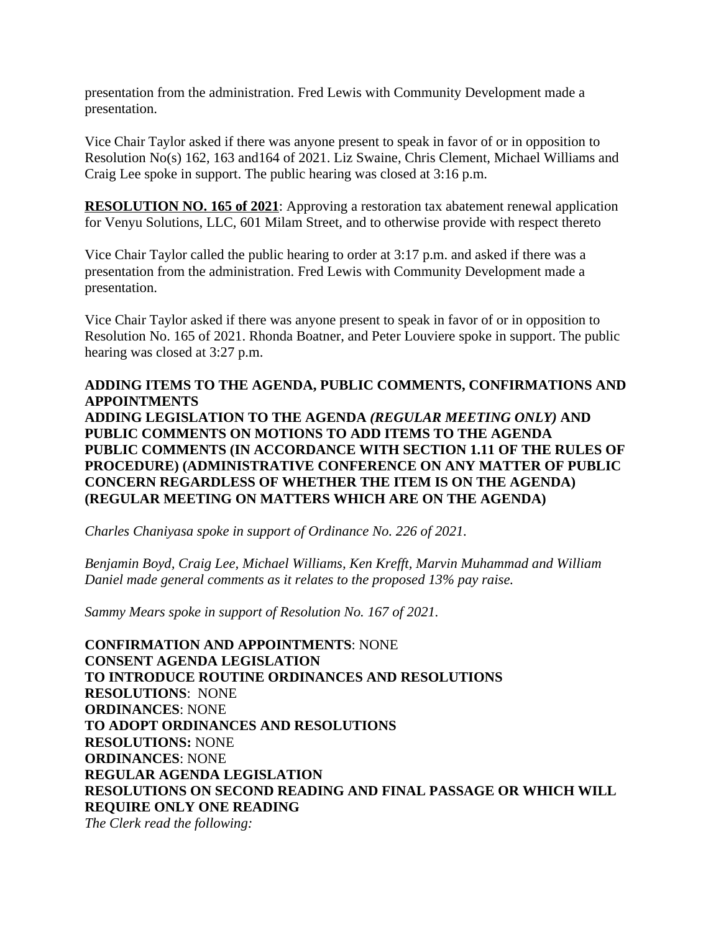presentation from the administration. Fred Lewis with Community Development made a presentation.

Vice Chair Taylor asked if there was anyone present to speak in favor of or in opposition to Resolution No(s) 162, 163 and164 of 2021. Liz Swaine, Chris Clement, Michael Williams and Craig Lee spoke in support. The public hearing was closed at 3:16 p.m.

**RESOLUTION NO. 165 of 2021**: Approving a restoration tax abatement renewal application for Venyu Solutions, LLC, 601 Milam Street, and to otherwise provide with respect thereto

Vice Chair Taylor called the public hearing to order at 3:17 p.m. and asked if there was a presentation from the administration. Fred Lewis with Community Development made a presentation.

Vice Chair Taylor asked if there was anyone present to speak in favor of or in opposition to Resolution No. 165 of 2021. Rhonda Boatner, and Peter Louviere spoke in support. The public hearing was closed at 3:27 p.m.

**ADDING ITEMS TO THE AGENDA, PUBLIC COMMENTS, CONFIRMATIONS AND APPOINTMENTS ADDING LEGISLATION TO THE AGENDA** *(REGULAR MEETING ONLY)* **AND PUBLIC COMMENTS ON MOTIONS TO ADD ITEMS TO THE AGENDA PUBLIC COMMENTS (IN ACCORDANCE WITH SECTION 1.11 OF THE RULES OF PROCEDURE) (ADMINISTRATIVE CONFERENCE ON ANY MATTER OF PUBLIC CONCERN REGARDLESS OF WHETHER THE ITEM IS ON THE AGENDA) (REGULAR MEETING ON MATTERS WHICH ARE ON THE AGENDA)**

*Charles Chaniyasa spoke in support of Ordinance No. 226 of 2021.*

*Benjamin Boyd, Craig Lee, Michael Williams, Ken Krefft, Marvin Muhammad and William Daniel made general comments as it relates to the proposed 13% pay raise.*

*Sammy Mears spoke in support of Resolution No. 167 of 2021.*

**CONFIRMATION AND APPOINTMENTS**: NONE **CONSENT AGENDA LEGISLATION TO INTRODUCE ROUTINE ORDINANCES AND RESOLUTIONS RESOLUTIONS**: NONE **ORDINANCES**: NONE **TO ADOPT ORDINANCES AND RESOLUTIONS RESOLUTIONS:** NONE **ORDINANCES**: NONE **REGULAR AGENDA LEGISLATION RESOLUTIONS ON SECOND READING AND FINAL PASSAGE OR WHICH WILL REQUIRE ONLY ONE READING**

*The Clerk read the following:*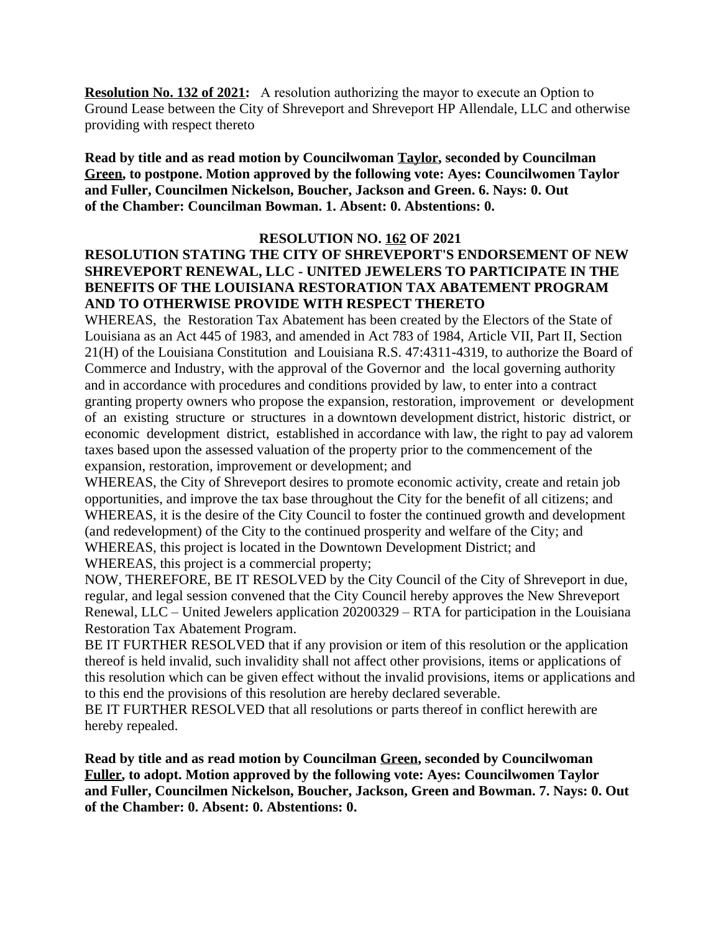**Resolution No. 132 of 2021:** A resolution authorizing the mayor to execute an Option to Ground Lease between the City of Shreveport and Shreveport HP Allendale, LLC and otherwise providing with respect thereto

**Read by title and as read motion by Councilwoman Taylor, seconded by Councilman Green, to postpone. Motion approved by the following vote: Ayes: Councilwomen Taylor and Fuller, Councilmen Nickelson, Boucher, Jackson and Green. 6. Nays: 0. Out of the Chamber: Councilman Bowman. 1. Absent: 0. Abstentions: 0.**

#### **RESOLUTION NO. 162 OF 2021**

## **RESOLUTION STATING THE CITY OF SHREVEPORT'S ENDORSEMENT OF NEW SHREVEPORT RENEWAL, LLC - UNITED JEWELERS TO PARTICIPATE IN THE BENEFITS OF THE LOUISIANA RESTORATION TAX ABATEMENT PROGRAM AND TO OTHERWISE PROVIDE WITH RESPECT THERETO**

WHEREAS, the Restoration Tax Abatement has been created by the Electors of the State of Louisiana as an Act 445 of 1983, and amended in Act 783 of 1984, Article VII, Part II, Section 21(H) of the Louisiana Constitution and Louisiana R.S. 47:4311-4319, to authorize the Board of Commerce and Industry, with the approval of the Governor and the local governing authority and in accordance with procedures and conditions provided by law, to enter into a contract granting property owners who propose the expansion, restoration, improvement or development of an existing structure or structures in a downtown development district, historic district, or economic development district, established in accordance with law, the right to pay ad valorem taxes based upon the assessed valuation of the property prior to the commencement of the expansion, restoration, improvement or development; and

WHEREAS, the City of Shreveport desires to promote economic activity, create and retain job opportunities, and improve the tax base throughout the City for the benefit of all citizens; and WHEREAS, it is the desire of the City Council to foster the continued growth and development (and redevelopment) of the City to the continued prosperity and welfare of the City; and WHEREAS, this project is located in the Downtown Development District; and WHEREAS, this project is a commercial property;

NOW, THEREFORE, BE IT RESOLVED by the City Council of the City of Shreveport in due, regular, and legal session convened that the City Council hereby approves the New Shreveport Renewal, LLC – United Jewelers application 20200329 – RTA for participation in the Louisiana Restoration Tax Abatement Program.

BE IT FURTHER RESOLVED that if any provision or item of this resolution or the application thereof is held invalid, such invalidity shall not affect other provisions, items or applications of this resolution which can be given effect without the invalid provisions, items or applications and to this end the provisions of this resolution are hereby declared severable.

BE IT FURTHER RESOLVED that all resolutions or parts thereof in conflict herewith are hereby repealed.

**Read by title and as read motion by Councilman Green, seconded by Councilwoman Fuller, to adopt. Motion approved by the following vote: Ayes: Councilwomen Taylor and Fuller, Councilmen Nickelson, Boucher, Jackson, Green and Bowman. 7. Nays: 0. Out of the Chamber: 0. Absent: 0. Abstentions: 0.**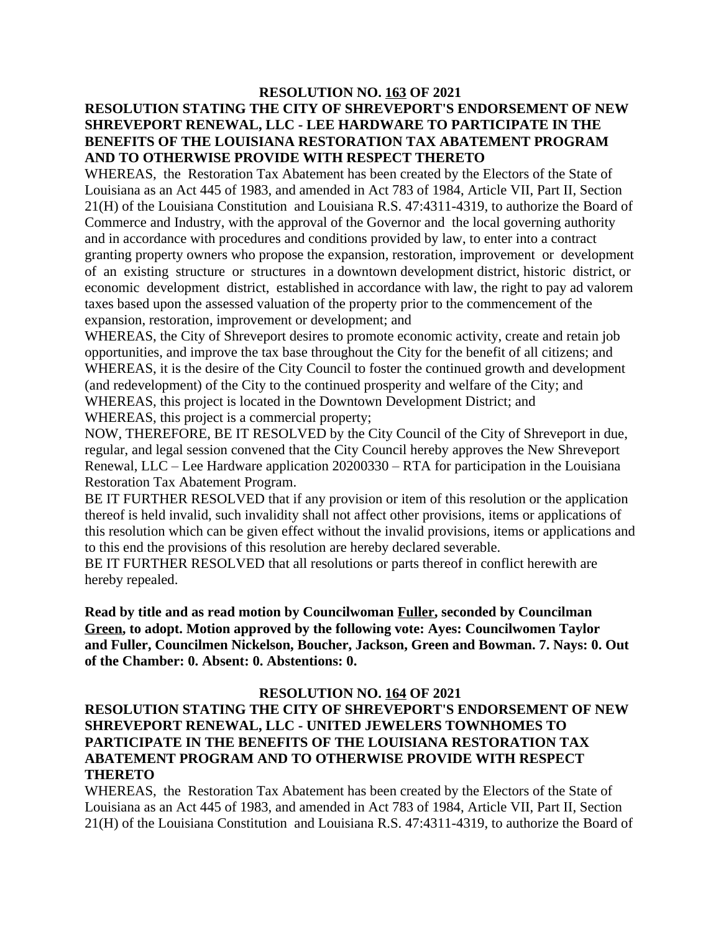#### **RESOLUTION NO. 163 OF 2021**

## **RESOLUTION STATING THE CITY OF SHREVEPORT'S ENDORSEMENT OF NEW SHREVEPORT RENEWAL, LLC - LEE HARDWARE TO PARTICIPATE IN THE BENEFITS OF THE LOUISIANA RESTORATION TAX ABATEMENT PROGRAM AND TO OTHERWISE PROVIDE WITH RESPECT THERETO**

WHEREAS, the Restoration Tax Abatement has been created by the Electors of the State of Louisiana as an Act 445 of 1983, and amended in Act 783 of 1984, Article VII, Part II, Section 21(H) of the Louisiana Constitution and Louisiana R.S. 47:4311-4319, to authorize the Board of Commerce and Industry, with the approval of the Governor and the local governing authority and in accordance with procedures and conditions provided by law, to enter into a contract granting property owners who propose the expansion, restoration, improvement or development of an existing structure or structures in a downtown development district, historic district, or economic development district, established in accordance with law, the right to pay ad valorem taxes based upon the assessed valuation of the property prior to the commencement of the expansion, restoration, improvement or development; and

WHEREAS, the City of Shreveport desires to promote economic activity, create and retain job opportunities, and improve the tax base throughout the City for the benefit of all citizens; and WHEREAS, it is the desire of the City Council to foster the continued growth and development (and redevelopment) of the City to the continued prosperity and welfare of the City; and WHEREAS, this project is located in the Downtown Development District; and WHEREAS, this project is a commercial property;

NOW, THEREFORE, BE IT RESOLVED by the City Council of the City of Shreveport in due, regular, and legal session convened that the City Council hereby approves the New Shreveport Renewal, LLC – Lee Hardware application 20200330 – RTA for participation in the Louisiana Restoration Tax Abatement Program.

BE IT FURTHER RESOLVED that if any provision or item of this resolution or the application thereof is held invalid, such invalidity shall not affect other provisions, items or applications of this resolution which can be given effect without the invalid provisions, items or applications and to this end the provisions of this resolution are hereby declared severable.

BE IT FURTHER RESOLVED that all resolutions or parts thereof in conflict herewith are hereby repealed.

**Read by title and as read motion by Councilwoman Fuller, seconded by Councilman Green, to adopt. Motion approved by the following vote: Ayes: Councilwomen Taylor and Fuller, Councilmen Nickelson, Boucher, Jackson, Green and Bowman. 7. Nays: 0. Out of the Chamber: 0. Absent: 0. Abstentions: 0.**

#### **RESOLUTION NO. 164 OF 2021**

## **RESOLUTION STATING THE CITY OF SHREVEPORT'S ENDORSEMENT OF NEW SHREVEPORT RENEWAL, LLC - UNITED JEWELERS TOWNHOMES TO PARTICIPATE IN THE BENEFITS OF THE LOUISIANA RESTORATION TAX ABATEMENT PROGRAM AND TO OTHERWISE PROVIDE WITH RESPECT THERETO**

WHEREAS, the Restoration Tax Abatement has been created by the Electors of the State of Louisiana as an Act 445 of 1983, and amended in Act 783 of 1984, Article VII, Part II, Section 21(H) of the Louisiana Constitution and Louisiana R.S. 47:4311-4319, to authorize the Board of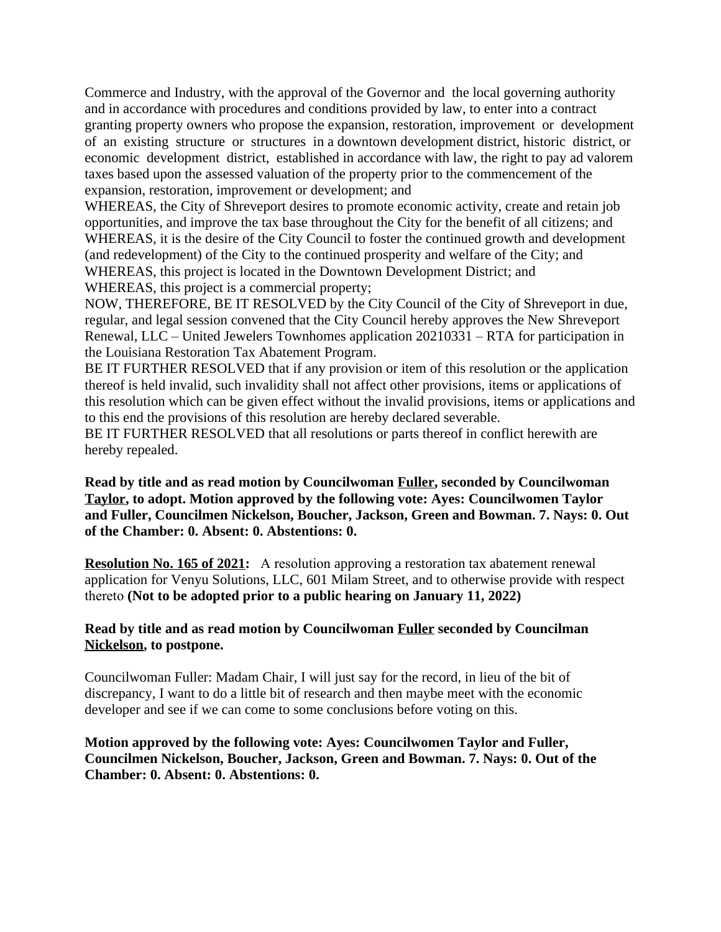Commerce and Industry, with the approval of the Governor and the local governing authority and in accordance with procedures and conditions provided by law, to enter into a contract granting property owners who propose the expansion, restoration, improvement or development of an existing structure or structures in a downtown development district, historic district, or economic development district, established in accordance with law, the right to pay ad valorem taxes based upon the assessed valuation of the property prior to the commencement of the expansion, restoration, improvement or development; and

WHEREAS, the City of Shreveport desires to promote economic activity, create and retain job opportunities, and improve the tax base throughout the City for the benefit of all citizens; and WHEREAS, it is the desire of the City Council to foster the continued growth and development (and redevelopment) of the City to the continued prosperity and welfare of the City; and WHEREAS, this project is located in the Downtown Development District; and WHEREAS, this project is a commercial property;

NOW, THEREFORE, BE IT RESOLVED by the City Council of the City of Shreveport in due, regular, and legal session convened that the City Council hereby approves the New Shreveport Renewal, LLC – United Jewelers Townhomes application 20210331 – RTA for participation in the Louisiana Restoration Tax Abatement Program.

BE IT FURTHER RESOLVED that if any provision or item of this resolution or the application thereof is held invalid, such invalidity shall not affect other provisions, items or applications of this resolution which can be given effect without the invalid provisions, items or applications and to this end the provisions of this resolution are hereby declared severable.

BE IT FURTHER RESOLVED that all resolutions or parts thereof in conflict herewith are hereby repealed.

**Read by title and as read motion by Councilwoman Fuller, seconded by Councilwoman Taylor, to adopt. Motion approved by the following vote: Ayes: Councilwomen Taylor and Fuller, Councilmen Nickelson, Boucher, Jackson, Green and Bowman. 7. Nays: 0. Out of the Chamber: 0. Absent: 0. Abstentions: 0.**

**Resolution No. 165 of 2021:** A resolution approving a restoration tax abatement renewal application for Venyu Solutions, LLC, 601 Milam Street, and to otherwise provide with respect thereto **(Not to be adopted prior to a public hearing on January 11, 2022)**

## **Read by title and as read motion by Councilwoman Fuller seconded by Councilman Nickelson, to postpone.**

Councilwoman Fuller: Madam Chair, I will just say for the record, in lieu of the bit of discrepancy, I want to do a little bit of research and then maybe meet with the economic developer and see if we can come to some conclusions before voting on this.

**Motion approved by the following vote: Ayes: Councilwomen Taylor and Fuller, Councilmen Nickelson, Boucher, Jackson, Green and Bowman. 7. Nays: 0. Out of the Chamber: 0. Absent: 0. Abstentions: 0.**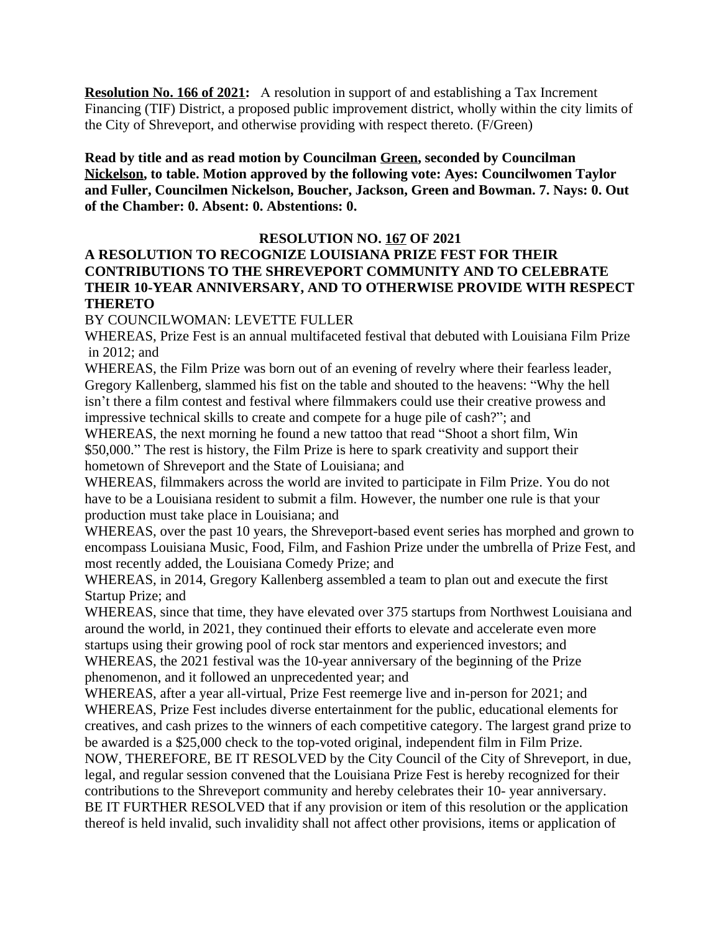**Resolution No. 166 of 2021:** A resolution in support of and establishing a Tax Increment Financing (TIF) District, a proposed public improvement district, wholly within the city limits of the City of Shreveport, and otherwise providing with respect thereto. (F/Green)

**Read by title and as read motion by Councilman Green, seconded by Councilman Nickelson, to table. Motion approved by the following vote: Ayes: Councilwomen Taylor and Fuller, Councilmen Nickelson, Boucher, Jackson, Green and Bowman. 7. Nays: 0. Out of the Chamber: 0. Absent: 0. Abstentions: 0.**

#### **RESOLUTION NO. 167 OF 2021**

## **A RESOLUTION TO RECOGNIZE LOUISIANA PRIZE FEST FOR THEIR CONTRIBUTIONS TO THE SHREVEPORT COMMUNITY AND TO CELEBRATE THEIR 10-YEAR ANNIVERSARY, AND TO OTHERWISE PROVIDE WITH RESPECT THERETO**

BY COUNCILWOMAN: LEVETTE FULLER

WHEREAS, Prize Fest is an annual multifaceted festival that debuted with Louisiana Film Prize in 2012; and

WHEREAS, the Film Prize was born out of an evening of revelry where their fearless leader, Gregory Kallenberg, slammed his fist on the table and shouted to the heavens: "Why the hell isn't there a film contest and festival where filmmakers could use their creative prowess and impressive technical skills to create and compete for a huge pile of cash?"; and

WHEREAS, the next morning he found a new tattoo that read "Shoot a short film, Win \$50,000." The rest is history, the Film Prize is here to spark creativity and support their hometown of Shreveport and the State of Louisiana; and

WHEREAS, filmmakers across the world are invited to participate in Film Prize. You do not have to be a Louisiana resident to submit a film. However, the number one rule is that your production must take place in Louisiana; and

WHEREAS, over the past 10 years, the Shreveport-based event series has morphed and grown to encompass Louisiana Music, Food, Film, and Fashion Prize under the umbrella of Prize Fest, and most recently added, the Louisiana Comedy Prize; and

WHEREAS, in 2014, Gregory Kallenberg assembled a team to plan out and execute the first Startup Prize; and

WHEREAS, since that time, they have elevated over 375 startups from Northwest Louisiana and around the world, in 2021, they continued their efforts to elevate and accelerate even more startups using their growing pool of rock star mentors and experienced investors; and WHEREAS, the 2021 festival was the 10-year anniversary of the beginning of the Prize phenomenon, and it followed an unprecedented year; and

WHEREAS, after a year all-virtual, Prize Fest reemerge live and in-person for 2021; and WHEREAS, Prize Fest includes diverse entertainment for the public, educational elements for creatives, and cash prizes to the winners of each competitive category. The largest grand prize to be awarded is a \$25,000 check to the top-voted original, independent film in Film Prize.

NOW, THEREFORE, BE IT RESOLVED by the City Council of the City of Shreveport, in due, legal, and regular session convened that the Louisiana Prize Fest is hereby recognized for their contributions to the Shreveport community and hereby celebrates their 10- year anniversary. BE IT FURTHER RESOLVED that if any provision or item of this resolution or the application thereof is held invalid, such invalidity shall not affect other provisions, items or application of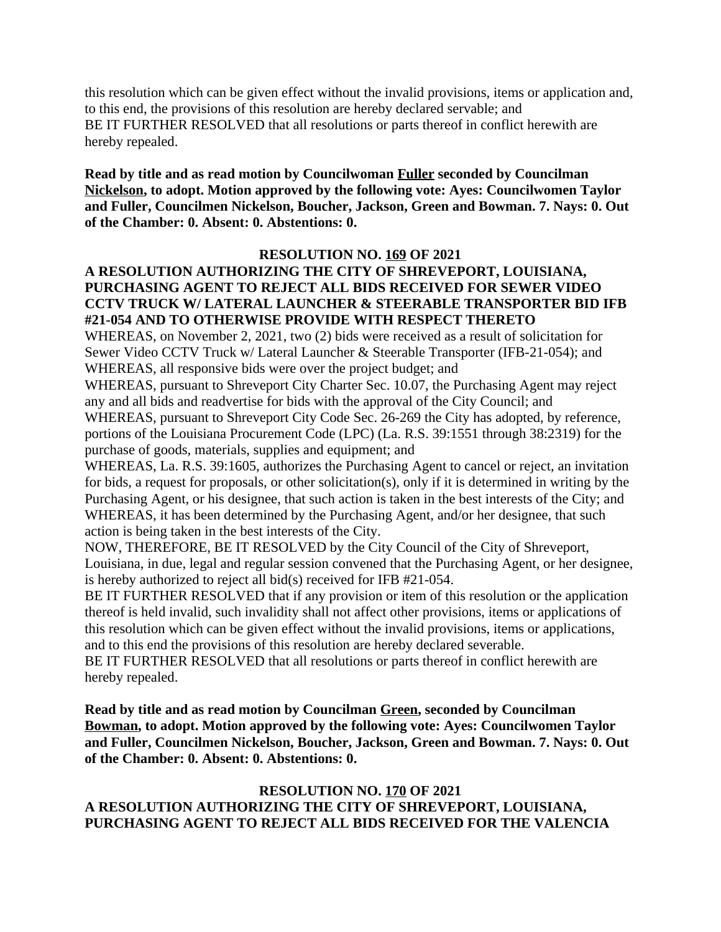this resolution which can be given effect without the invalid provisions, items or application and, to this end, the provisions of this resolution are hereby declared servable; and BE IT FURTHER RESOLVED that all resolutions or parts thereof in conflict herewith are hereby repealed.

**Read by title and as read motion by Councilwoman Fuller seconded by Councilman Nickelson, to adopt. Motion approved by the following vote: Ayes: Councilwomen Taylor and Fuller, Councilmen Nickelson, Boucher, Jackson, Green and Bowman. 7. Nays: 0. Out of the Chamber: 0. Absent: 0. Abstentions: 0.**

#### **RESOLUTION NO. 169 OF 2021**

### **A RESOLUTION AUTHORIZING THE CITY OF SHREVEPORT, LOUISIANA, PURCHASING AGENT TO REJECT ALL BIDS RECEIVED FOR SEWER VIDEO CCTV TRUCK W/ LATERAL LAUNCHER & STEERABLE TRANSPORTER BID IFB #21-054 AND TO OTHERWISE PROVIDE WITH RESPECT THERETO**

WHEREAS, on November 2, 2021, two (2) bids were received as a result of solicitation for Sewer Video CCTV Truck w/ Lateral Launcher & Steerable Transporter (IFB-21-054); and WHEREAS, all responsive bids were over the project budget; and

WHEREAS, pursuant to Shreveport City Charter Sec. 10.07, the Purchasing Agent may reject any and all bids and readvertise for bids with the approval of the City Council; and

WHEREAS, pursuant to Shreveport City Code Sec. 26-269 the City has adopted, by reference, portions of the Louisiana Procurement Code (LPC) (La. R.S. 39:1551 through 38:2319) for the purchase of goods, materials, supplies and equipment; and

WHEREAS, La. R.S. 39:1605, authorizes the Purchasing Agent to cancel or reject, an invitation for bids, a request for proposals, or other solicitation(s), only if it is determined in writing by the Purchasing Agent, or his designee, that such action is taken in the best interests of the City; and WHEREAS, it has been determined by the Purchasing Agent, and/or her designee, that such action is being taken in the best interests of the City.

NOW, THEREFORE, BE IT RESOLVED by the City Council of the City of Shreveport, Louisiana, in due, legal and regular session convened that the Purchasing Agent, or her designee, is hereby authorized to reject all bid(s) received for IFB #21-054.

BE IT FURTHER RESOLVED that if any provision or item of this resolution or the application thereof is held invalid, such invalidity shall not affect other provisions, items or applications of this resolution which can be given effect without the invalid provisions, items or applications, and to this end the provisions of this resolution are hereby declared severable.

BE IT FURTHER RESOLVED that all resolutions or parts thereof in conflict herewith are hereby repealed.

**Read by title and as read motion by Councilman Green, seconded by Councilman Bowman, to adopt. Motion approved by the following vote: Ayes: Councilwomen Taylor and Fuller, Councilmen Nickelson, Boucher, Jackson, Green and Bowman. 7. Nays: 0. Out of the Chamber: 0. Absent: 0. Abstentions: 0.**

## **RESOLUTION NO. 170 OF 2021 A RESOLUTION AUTHORIZING THE CITY OF SHREVEPORT, LOUISIANA, PURCHASING AGENT TO REJECT ALL BIDS RECEIVED FOR THE VALENCIA**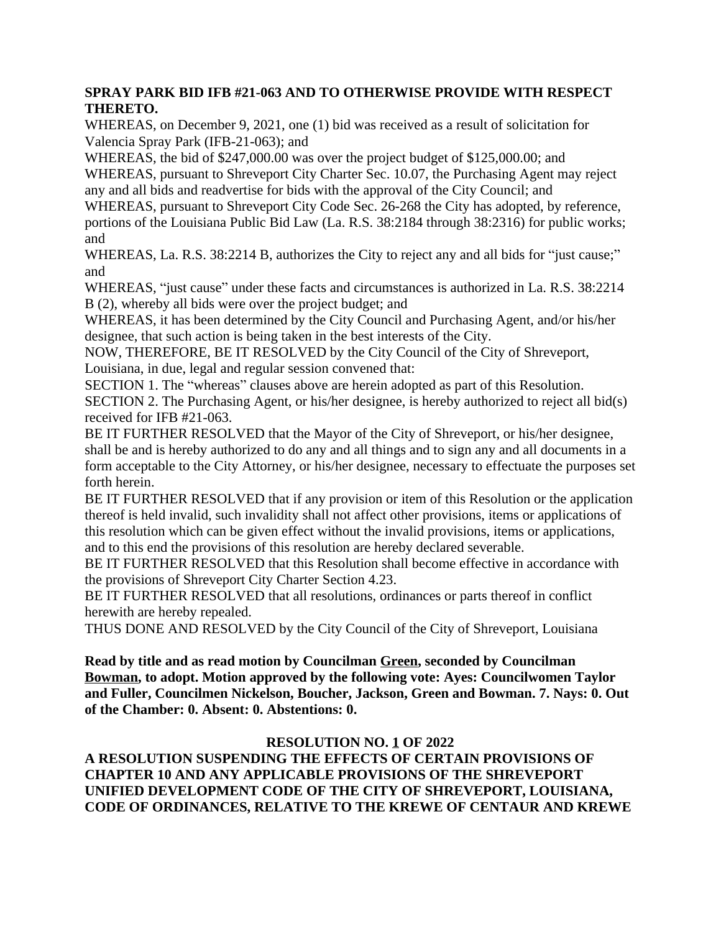### **SPRAY PARK BID IFB #21-063 AND TO OTHERWISE PROVIDE WITH RESPECT THERETO.**

WHEREAS, on December 9, 2021, one (1) bid was received as a result of solicitation for Valencia Spray Park (IFB-21-063); and

WHEREAS, the bid of \$247,000.00 was over the project budget of \$125,000.00; and

WHEREAS, pursuant to Shreveport City Charter Sec. 10.07, the Purchasing Agent may reject any and all bids and readvertise for bids with the approval of the City Council; and

WHEREAS, pursuant to Shreveport City Code Sec. 26-268 the City has adopted, by reference, portions of the Louisiana Public Bid Law (La. R.S. 38:2184 through 38:2316) for public works; and

WHEREAS, La. R.S. 38:2214 B, authorizes the City to reject any and all bids for "just cause;" and

WHEREAS, "just cause" under these facts and circumstances is authorized in La. R.S. 38:2214 B (2), whereby all bids were over the project budget; and

WHEREAS, it has been determined by the City Council and Purchasing Agent, and/or his/her designee, that such action is being taken in the best interests of the City.

NOW, THEREFORE, BE IT RESOLVED by the City Council of the City of Shreveport, Louisiana, in due, legal and regular session convened that:

SECTION 1. The "whereas" clauses above are herein adopted as part of this Resolution.

SECTION 2. The Purchasing Agent, or his/her designee, is hereby authorized to reject all bid(s) received for IFB #21-063.

BE IT FURTHER RESOLVED that the Mayor of the City of Shreveport, or his/her designee, shall be and is hereby authorized to do any and all things and to sign any and all documents in a form acceptable to the City Attorney, or his/her designee, necessary to effectuate the purposes set forth herein.

BE IT FURTHER RESOLVED that if any provision or item of this Resolution or the application thereof is held invalid, such invalidity shall not affect other provisions, items or applications of this resolution which can be given effect without the invalid provisions, items or applications, and to this end the provisions of this resolution are hereby declared severable.

BE IT FURTHER RESOLVED that this Resolution shall become effective in accordance with the provisions of Shreveport City Charter Section 4.23.

BE IT FURTHER RESOLVED that all resolutions, ordinances or parts thereof in conflict herewith are hereby repealed.

THUS DONE AND RESOLVED by the City Council of the City of Shreveport, Louisiana

**Read by title and as read motion by Councilman Green, seconded by Councilman Bowman, to adopt. Motion approved by the following vote: Ayes: Councilwomen Taylor and Fuller, Councilmen Nickelson, Boucher, Jackson, Green and Bowman. 7. Nays: 0. Out of the Chamber: 0. Absent: 0. Abstentions: 0.**

## **RESOLUTION NO. 1 OF 2022**

**A RESOLUTION SUSPENDING THE EFFECTS OF CERTAIN PROVISIONS OF CHAPTER 10 AND ANY APPLICABLE PROVISIONS OF THE SHREVEPORT UNIFIED DEVELOPMENT CODE OF THE CITY OF SHREVEPORT, LOUISIANA, CODE OF ORDINANCES, RELATIVE TO THE KREWE OF CENTAUR AND KREWE**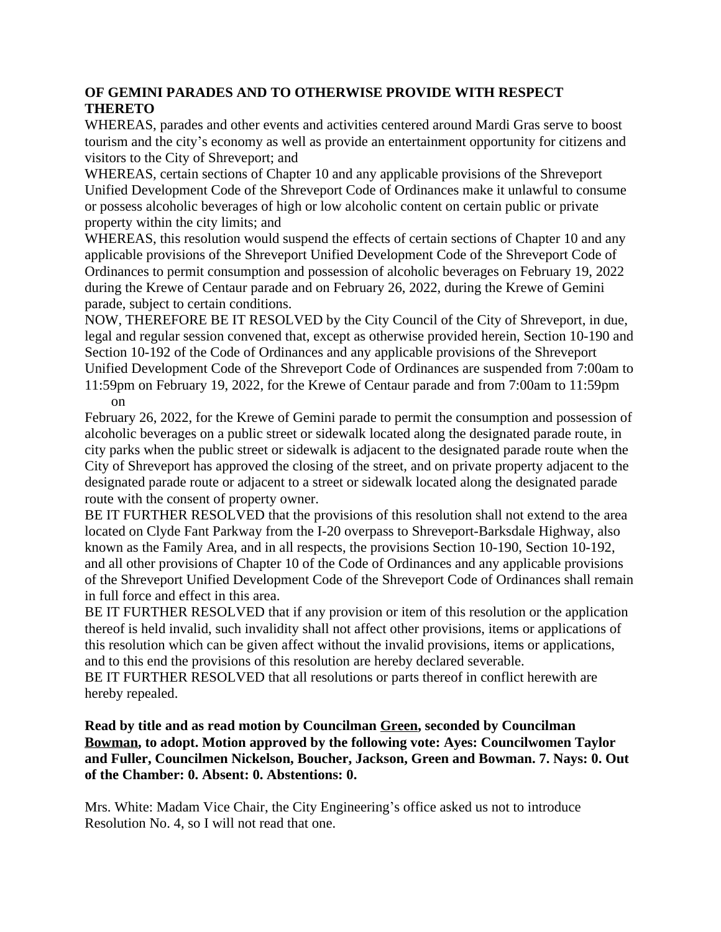## **OF GEMINI PARADES AND TO OTHERWISE PROVIDE WITH RESPECT THERETO**

WHEREAS, parades and other events and activities centered around Mardi Gras serve to boost tourism and the city's economy as well as provide an entertainment opportunity for citizens and visitors to the City of Shreveport; and

WHEREAS, certain sections of Chapter 10 and any applicable provisions of the Shreveport Unified Development Code of the Shreveport Code of Ordinances make it unlawful to consume or possess alcoholic beverages of high or low alcoholic content on certain public or private property within the city limits; and

WHEREAS, this resolution would suspend the effects of certain sections of Chapter 10 and any applicable provisions of the Shreveport Unified Development Code of the Shreveport Code of Ordinances to permit consumption and possession of alcoholic beverages on February 19, 2022 during the Krewe of Centaur parade and on February 26, 2022, during the Krewe of Gemini parade, subject to certain conditions.

NOW, THEREFORE BE IT RESOLVED by the City Council of the City of Shreveport, in due, legal and regular session convened that, except as otherwise provided herein, Section 10-190 and Section 10-192 of the Code of Ordinances and any applicable provisions of the Shreveport Unified Development Code of the Shreveport Code of Ordinances are suspended from 7:00am to 11:59pm on February 19, 2022, for the Krewe of Centaur parade and from 7:00am to 11:59pm

on

February 26, 2022, for the Krewe of Gemini parade to permit the consumption and possession of alcoholic beverages on a public street or sidewalk located along the designated parade route, in city parks when the public street or sidewalk is adjacent to the designated parade route when the City of Shreveport has approved the closing of the street, and on private property adjacent to the designated parade route or adjacent to a street or sidewalk located along the designated parade route with the consent of property owner.

BE IT FURTHER RESOLVED that the provisions of this resolution shall not extend to the area located on Clyde Fant Parkway from the I-20 overpass to Shreveport-Barksdale Highway, also known as the Family Area, and in all respects, the provisions Section 10-190, Section 10-192, and all other provisions of Chapter 10 of the Code of Ordinances and any applicable provisions of the Shreveport Unified Development Code of the Shreveport Code of Ordinances shall remain in full force and effect in this area.

BE IT FURTHER RESOLVED that if any provision or item of this resolution or the application thereof is held invalid, such invalidity shall not affect other provisions, items or applications of this resolution which can be given affect without the invalid provisions, items or applications, and to this end the provisions of this resolution are hereby declared severable.

BE IT FURTHER RESOLVED that all resolutions or parts thereof in conflict herewith are hereby repealed.

**Read by title and as read motion by Councilman Green, seconded by Councilman Bowman, to adopt. Motion approved by the following vote: Ayes: Councilwomen Taylor and Fuller, Councilmen Nickelson, Boucher, Jackson, Green and Bowman. 7. Nays: 0. Out of the Chamber: 0. Absent: 0. Abstentions: 0.**

Mrs. White: Madam Vice Chair, the City Engineering's office asked us not to introduce Resolution No. 4, so I will not read that one.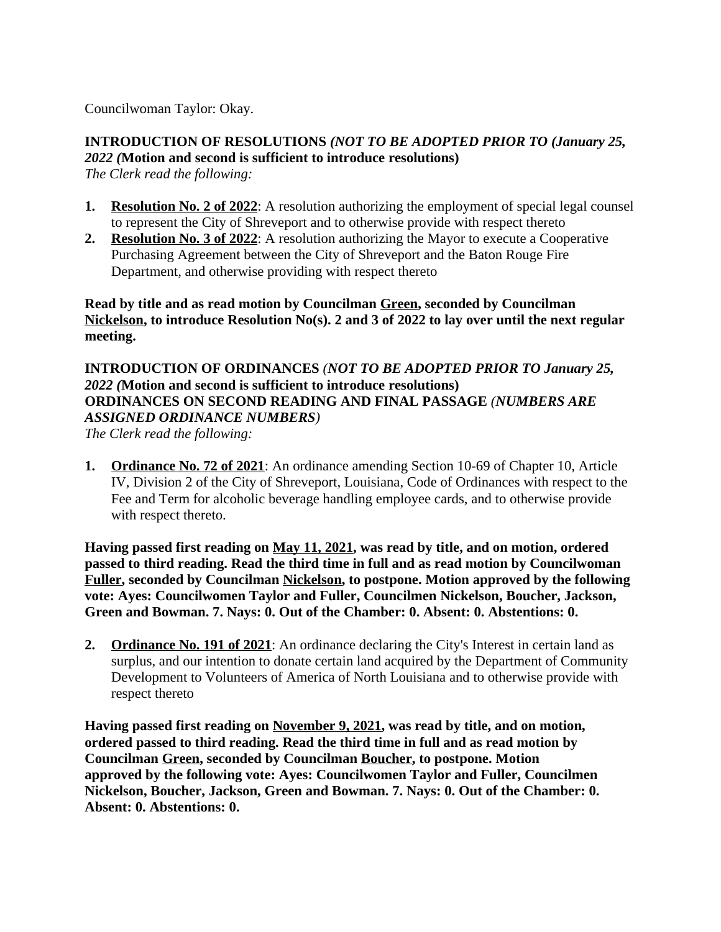Councilwoman Taylor: Okay.

## **INTRODUCTION OF RESOLUTIONS** *(NOT TO BE ADOPTED PRIOR TO (January 25, 2022 (***Motion and second is sufficient to introduce resolutions)**

*The Clerk read the following:* 

- **1. Resolution No. 2 of 2022**: A resolution authorizing the employment of special legal counsel to represent the City of Shreveport and to otherwise provide with respect thereto
- **2. Resolution No. 3 of 2022**: A resolution authorizing the Mayor to execute a Cooperative Purchasing Agreement between the City of Shreveport and the Baton Rouge Fire Department, and otherwise providing with respect thereto

**Read by title and as read motion by Councilman Green, seconded by Councilman Nickelson, to introduce Resolution No(s). 2 and 3 of 2022 to lay over until the next regular meeting.**

## **INTRODUCTION OF ORDINANCES** *(NOT TO BE ADOPTED PRIOR TO January 25, 2022 (***Motion and second is sufficient to introduce resolutions) ORDINANCES ON SECOND READING AND FINAL PASSAGE** *(NUMBERS ARE ASSIGNED ORDINANCE NUMBERS)*

*The Clerk read the following:* 

**1. Ordinance No. 72 of 2021**: An ordinance amending Section 10-69 of Chapter 10, Article IV, Division 2 of the City of Shreveport, Louisiana, Code of Ordinances with respect to the Fee and Term for alcoholic beverage handling employee cards, and to otherwise provide with respect thereto.

**Having passed first reading on May 11, 2021, was read by title, and on motion, ordered passed to third reading. Read the third time in full and as read motion by Councilwoman Fuller, seconded by Councilman Nickelson, to postpone. Motion approved by the following vote: Ayes: Councilwomen Taylor and Fuller, Councilmen Nickelson, Boucher, Jackson, Green and Bowman. 7. Nays: 0. Out of the Chamber: 0. Absent: 0. Abstentions: 0.**

**2. Ordinance No. 191 of 2021**: An ordinance declaring the City's Interest in certain land as surplus, and our intention to donate certain land acquired by the Department of Community Development to Volunteers of America of North Louisiana and to otherwise provide with respect thereto

**Having passed first reading on November 9, 2021, was read by title, and on motion, ordered passed to third reading. Read the third time in full and as read motion by Councilman Green, seconded by Councilman Boucher, to postpone. Motion approved by the following vote: Ayes: Councilwomen Taylor and Fuller, Councilmen Nickelson, Boucher, Jackson, Green and Bowman. 7. Nays: 0. Out of the Chamber: 0. Absent: 0. Abstentions: 0.**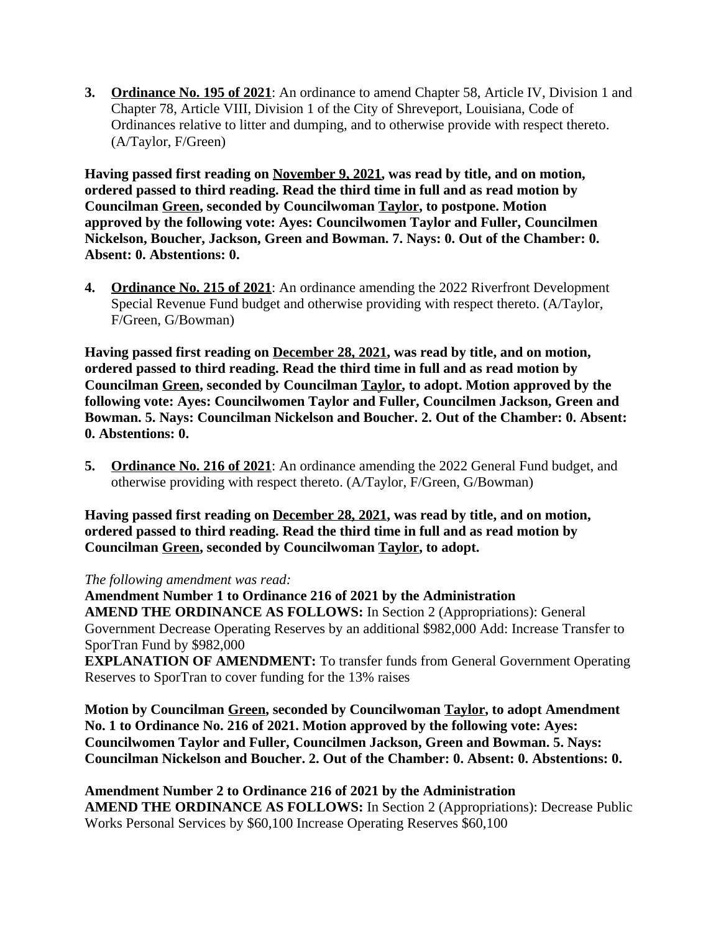**3. Ordinance No. 195 of 2021**: An ordinance to amend Chapter 58, Article IV, Division 1 and Chapter 78, Article VIII, Division 1 of the City of Shreveport, Louisiana, Code of Ordinances relative to litter and dumping, and to otherwise provide with respect thereto. (A/Taylor, F/Green)

**Having passed first reading on November 9, 2021, was read by title, and on motion, ordered passed to third reading. Read the third time in full and as read motion by Councilman Green, seconded by Councilwoman Taylor, to postpone. Motion approved by the following vote: Ayes: Councilwomen Taylor and Fuller, Councilmen Nickelson, Boucher, Jackson, Green and Bowman. 7. Nays: 0. Out of the Chamber: 0. Absent: 0. Abstentions: 0.**

**4. Ordinance No. 215 of 2021**: An ordinance amending the 2022 Riverfront Development Special Revenue Fund budget and otherwise providing with respect thereto. (A/Taylor, F/Green, G/Bowman)

**Having passed first reading on December 28, 2021, was read by title, and on motion, ordered passed to third reading. Read the third time in full and as read motion by Councilman Green, seconded by Councilman Taylor, to adopt. Motion approved by the following vote: Ayes: Councilwomen Taylor and Fuller, Councilmen Jackson, Green and Bowman. 5. Nays: Councilman Nickelson and Boucher. 2. Out of the Chamber: 0. Absent: 0. Abstentions: 0.**

**5. Ordinance No. 216 of 2021**: An ordinance amending the 2022 General Fund budget, and otherwise providing with respect thereto. (A/Taylor, F/Green, G/Bowman)

**Having passed first reading on December 28, 2021, was read by title, and on motion, ordered passed to third reading. Read the third time in full and as read motion by Councilman Green, seconded by Councilwoman Taylor, to adopt.**

## *The following amendment was read:*

**Amendment Number 1 to Ordinance 216 of 2021 by the Administration AMEND THE ORDINANCE AS FOLLOWS:** In Section 2 (Appropriations): General Government Decrease Operating Reserves by an additional \$982,000 Add: Increase Transfer to SporTran Fund by \$982,000

**EXPLANATION OF AMENDMENT:** To transfer funds from General Government Operating Reserves to SporTran to cover funding for the 13% raises

**Motion by Councilman Green, seconded by Councilwoman Taylor, to adopt Amendment No. 1 to Ordinance No. 216 of 2021. Motion approved by the following vote: Ayes: Councilwomen Taylor and Fuller, Councilmen Jackson, Green and Bowman. 5. Nays: Councilman Nickelson and Boucher. 2. Out of the Chamber: 0. Absent: 0. Abstentions: 0.**

**Amendment Number 2 to Ordinance 216 of 2021 by the Administration AMEND THE ORDINANCE AS FOLLOWS:** In Section 2 (Appropriations): Decrease Public Works Personal Services by \$60,100 Increase Operating Reserves \$60,100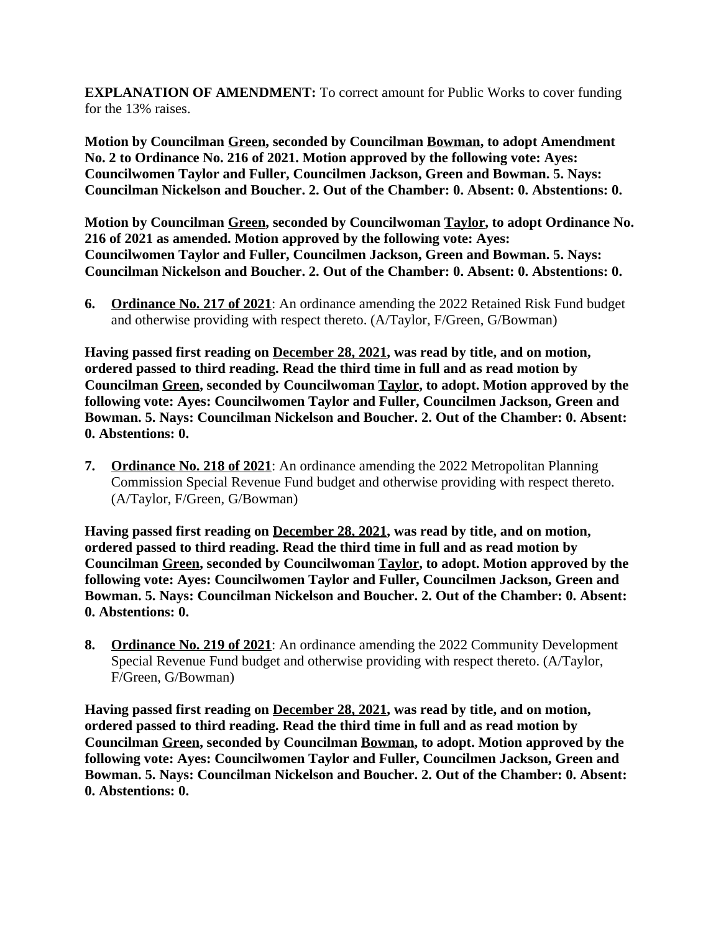**EXPLANATION OF AMENDMENT:** To correct amount for Public Works to cover funding for the 13% raises.

**Motion by Councilman Green, seconded by Councilman Bowman, to adopt Amendment No. 2 to Ordinance No. 216 of 2021. Motion approved by the following vote: Ayes: Councilwomen Taylor and Fuller, Councilmen Jackson, Green and Bowman. 5. Nays: Councilman Nickelson and Boucher. 2. Out of the Chamber: 0. Absent: 0. Abstentions: 0.**

**Motion by Councilman Green, seconded by Councilwoman Taylor, to adopt Ordinance No. 216 of 2021 as amended. Motion approved by the following vote: Ayes: Councilwomen Taylor and Fuller, Councilmen Jackson, Green and Bowman. 5. Nays: Councilman Nickelson and Boucher. 2. Out of the Chamber: 0. Absent: 0. Abstentions: 0.**

**6. Ordinance No. 217 of 2021**: An ordinance amending the 2022 Retained Risk Fund budget and otherwise providing with respect thereto. (A/Taylor, F/Green, G/Bowman)

**Having passed first reading on December 28, 2021, was read by title, and on motion, ordered passed to third reading. Read the third time in full and as read motion by Councilman Green, seconded by Councilwoman Taylor, to adopt. Motion approved by the following vote: Ayes: Councilwomen Taylor and Fuller, Councilmen Jackson, Green and Bowman. 5. Nays: Councilman Nickelson and Boucher. 2. Out of the Chamber: 0. Absent: 0. Abstentions: 0.**

**7. Ordinance No. 218 of 2021**: An ordinance amending the 2022 Metropolitan Planning Commission Special Revenue Fund budget and otherwise providing with respect thereto. (A/Taylor, F/Green, G/Bowman)

**Having passed first reading on December 28, 2021, was read by title, and on motion, ordered passed to third reading. Read the third time in full and as read motion by Councilman Green, seconded by Councilwoman Taylor, to adopt. Motion approved by the following vote: Ayes: Councilwomen Taylor and Fuller, Councilmen Jackson, Green and Bowman. 5. Nays: Councilman Nickelson and Boucher. 2. Out of the Chamber: 0. Absent: 0. Abstentions: 0.**

**8. Ordinance No. 219 of 2021**: An ordinance amending the 2022 Community Development Special Revenue Fund budget and otherwise providing with respect thereto. (A/Taylor, F/Green, G/Bowman)

**Having passed first reading on December 28, 2021, was read by title, and on motion, ordered passed to third reading. Read the third time in full and as read motion by Councilman Green, seconded by Councilman Bowman, to adopt. Motion approved by the following vote: Ayes: Councilwomen Taylor and Fuller, Councilmen Jackson, Green and Bowman. 5. Nays: Councilman Nickelson and Boucher. 2. Out of the Chamber: 0. Absent: 0. Abstentions: 0.**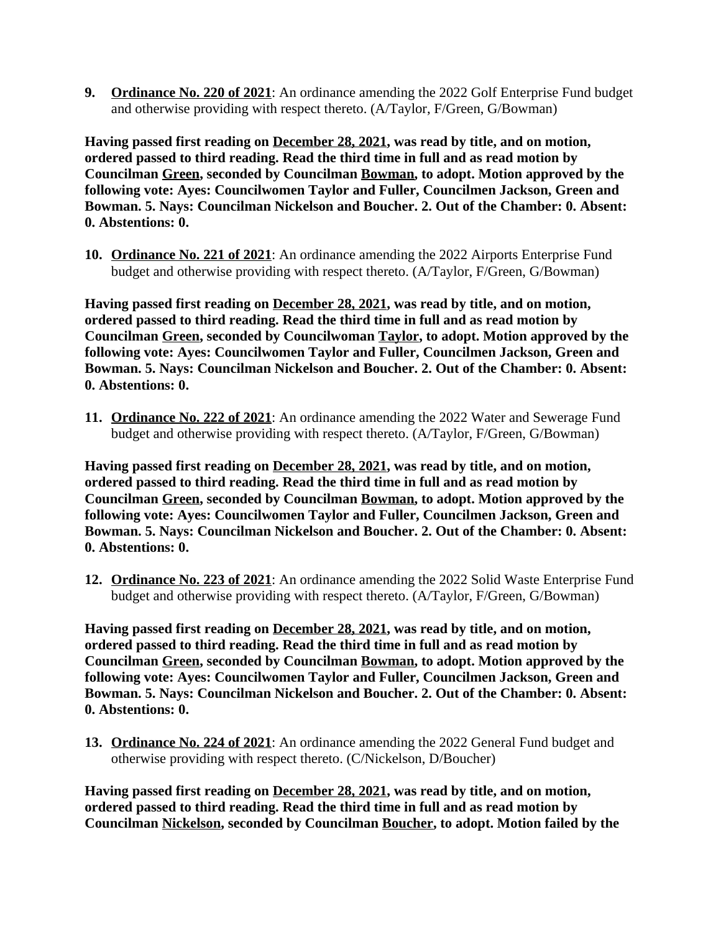**9. Ordinance No. 220 of 2021**: An ordinance amending the 2022 Golf Enterprise Fund budget and otherwise providing with respect thereto. (A/Taylor, F/Green, G/Bowman)

**Having passed first reading on December 28, 2021, was read by title, and on motion, ordered passed to third reading. Read the third time in full and as read motion by Councilman Green, seconded by Councilman Bowman, to adopt. Motion approved by the following vote: Ayes: Councilwomen Taylor and Fuller, Councilmen Jackson, Green and Bowman. 5. Nays: Councilman Nickelson and Boucher. 2. Out of the Chamber: 0. Absent: 0. Abstentions: 0.**

**10. Ordinance No. 221 of 2021**: An ordinance amending the 2022 Airports Enterprise Fund budget and otherwise providing with respect thereto. (A/Taylor, F/Green, G/Bowman)

**Having passed first reading on December 28, 2021, was read by title, and on motion, ordered passed to third reading. Read the third time in full and as read motion by Councilman Green, seconded by Councilwoman Taylor, to adopt. Motion approved by the following vote: Ayes: Councilwomen Taylor and Fuller, Councilmen Jackson, Green and Bowman. 5. Nays: Councilman Nickelson and Boucher. 2. Out of the Chamber: 0. Absent: 0. Abstentions: 0.**

**11. Ordinance No. 222 of 2021**: An ordinance amending the 2022 Water and Sewerage Fund budget and otherwise providing with respect thereto. (A/Taylor, F/Green, G/Bowman)

**Having passed first reading on December 28, 2021, was read by title, and on motion, ordered passed to third reading. Read the third time in full and as read motion by Councilman Green, seconded by Councilman Bowman, to adopt. Motion approved by the following vote: Ayes: Councilwomen Taylor and Fuller, Councilmen Jackson, Green and Bowman. 5. Nays: Councilman Nickelson and Boucher. 2. Out of the Chamber: 0. Absent: 0. Abstentions: 0.**

**12. Ordinance No. 223 of 2021**: An ordinance amending the 2022 Solid Waste Enterprise Fund budget and otherwise providing with respect thereto. (A/Taylor, F/Green, G/Bowman)

**Having passed first reading on December 28, 2021, was read by title, and on motion, ordered passed to third reading. Read the third time in full and as read motion by Councilman Green, seconded by Councilman Bowman, to adopt. Motion approved by the following vote: Ayes: Councilwomen Taylor and Fuller, Councilmen Jackson, Green and Bowman. 5. Nays: Councilman Nickelson and Boucher. 2. Out of the Chamber: 0. Absent: 0. Abstentions: 0.**

**13. Ordinance No. 224 of 2021**: An ordinance amending the 2022 General Fund budget and otherwise providing with respect thereto. (C/Nickelson, D/Boucher)

**Having passed first reading on December 28, 2021, was read by title, and on motion, ordered passed to third reading. Read the third time in full and as read motion by Councilman Nickelson, seconded by Councilman Boucher, to adopt. Motion failed by the**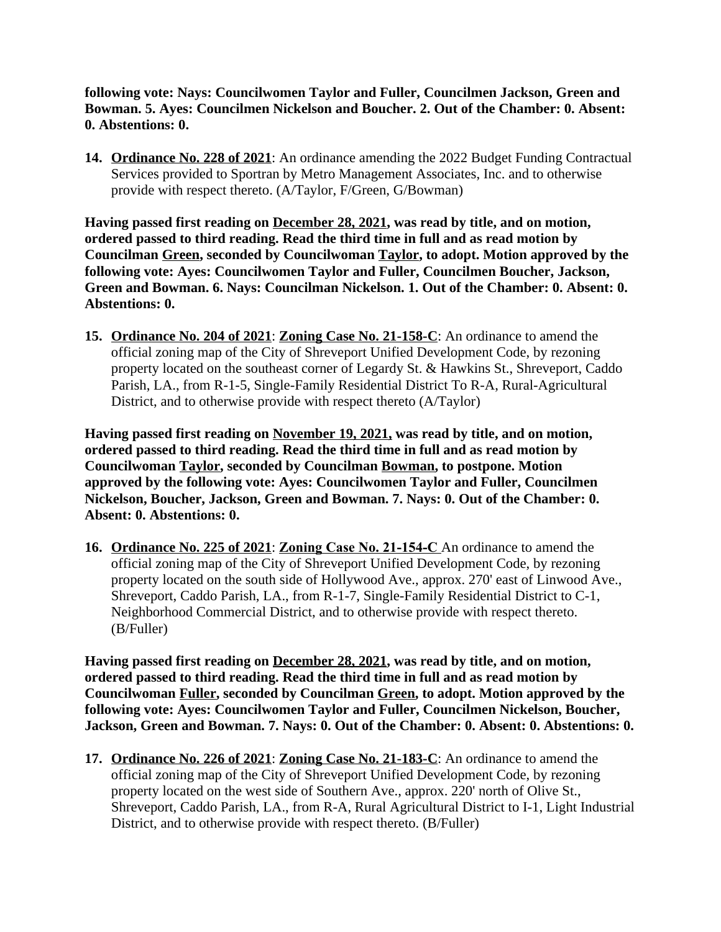**following vote: Nays: Councilwomen Taylor and Fuller, Councilmen Jackson, Green and Bowman. 5. Ayes: Councilmen Nickelson and Boucher. 2. Out of the Chamber: 0. Absent: 0. Abstentions: 0.**

**14. Ordinance No. 228 of 2021**: An ordinance amending the 2022 Budget Funding Contractual Services provided to Sportran by Metro Management Associates, Inc. and to otherwise provide with respect thereto. (A/Taylor, F/Green, G/Bowman)

**Having passed first reading on December 28, 2021, was read by title, and on motion, ordered passed to third reading. Read the third time in full and as read motion by Councilman Green, seconded by Councilwoman Taylor, to adopt. Motion approved by the following vote: Ayes: Councilwomen Taylor and Fuller, Councilmen Boucher, Jackson, Green and Bowman. 6. Nays: Councilman Nickelson. 1. Out of the Chamber: 0. Absent: 0. Abstentions: 0.**

**15. Ordinance No. 204 of 2021**: **Zoning Case No. 21-158-C**: An ordinance to amend the official zoning map of the City of Shreveport Unified Development Code, by rezoning property located on the southeast corner of Legardy St. & Hawkins St., Shreveport, Caddo Parish, LA., from R-1-5, Single-Family Residential District To R-A, Rural-Agricultural District, and to otherwise provide with respect thereto (A/Taylor)

**Having passed first reading on November 19, 2021, was read by title, and on motion, ordered passed to third reading. Read the third time in full and as read motion by Councilwoman Taylor, seconded by Councilman Bowman, to postpone. Motion approved by the following vote: Ayes: Councilwomen Taylor and Fuller, Councilmen Nickelson, Boucher, Jackson, Green and Bowman. 7. Nays: 0. Out of the Chamber: 0. Absent: 0. Abstentions: 0.**

**16. Ordinance No. 225 of 2021**: **Zoning Case No. 21-154-C** An ordinance to amend the official zoning map of the City of Shreveport Unified Development Code, by rezoning property located on the south side of Hollywood Ave., approx. 270' east of Linwood Ave., Shreveport, Caddo Parish, LA., from R-1-7, Single-Family Residential District to C-1, Neighborhood Commercial District, and to otherwise provide with respect thereto. (B/Fuller)

**Having passed first reading on December 28, 2021, was read by title, and on motion, ordered passed to third reading. Read the third time in full and as read motion by Councilwoman Fuller, seconded by Councilman Green, to adopt. Motion approved by the following vote: Ayes: Councilwomen Taylor and Fuller, Councilmen Nickelson, Boucher, Jackson, Green and Bowman. 7. Nays: 0. Out of the Chamber: 0. Absent: 0. Abstentions: 0.**

**17. Ordinance No. 226 of 2021**: **Zoning Case No. 21-183-C**: An ordinance to amend the official zoning map of the City of Shreveport Unified Development Code, by rezoning property located on the west side of Southern Ave., approx. 220' north of Olive St., Shreveport, Caddo Parish, LA., from R-A, Rural Agricultural District to I-1, Light Industrial District, and to otherwise provide with respect thereto. (B/Fuller)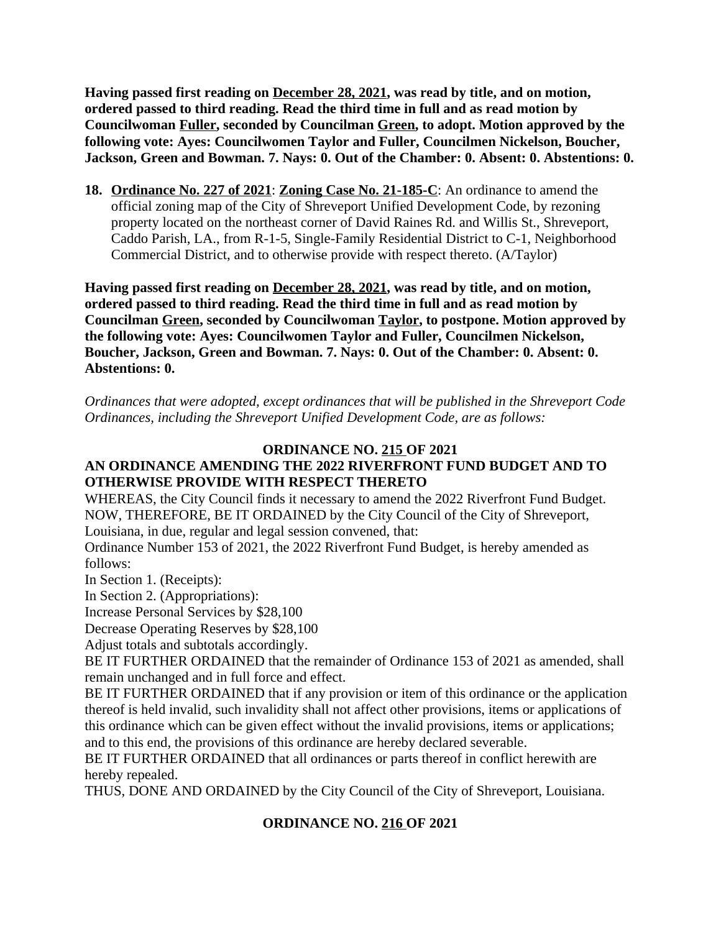**Having passed first reading on December 28, 2021, was read by title, and on motion, ordered passed to third reading. Read the third time in full and as read motion by Councilwoman Fuller, seconded by Councilman Green, to adopt. Motion approved by the following vote: Ayes: Councilwomen Taylor and Fuller, Councilmen Nickelson, Boucher, Jackson, Green and Bowman. 7. Nays: 0. Out of the Chamber: 0. Absent: 0. Abstentions: 0.**

**18. Ordinance No. 227 of 2021**: **Zoning Case No. 21-185-C**: An ordinance to amend the official zoning map of the City of Shreveport Unified Development Code, by rezoning property located on the northeast corner of David Raines Rd. and Willis St., Shreveport, Caddo Parish, LA., from R-1-5, Single-Family Residential District to C-1, Neighborhood Commercial District, and to otherwise provide with respect thereto. (A/Taylor)

**Having passed first reading on December 28, 2021, was read by title, and on motion, ordered passed to third reading. Read the third time in full and as read motion by Councilman Green, seconded by Councilwoman Taylor, to postpone. Motion approved by the following vote: Ayes: Councilwomen Taylor and Fuller, Councilmen Nickelson, Boucher, Jackson, Green and Bowman. 7. Nays: 0. Out of the Chamber: 0. Absent: 0. Abstentions: 0.**

*Ordinances that were adopted, except ordinances that will be published in the Shreveport Code Ordinances, including the Shreveport Unified Development Code, are as follows:*

## **ORDINANCE NO. 215 OF 2021**

## **AN ORDINANCE AMENDING THE 2022 RIVERFRONT FUND BUDGET AND TO OTHERWISE PROVIDE WITH RESPECT THERETO**

WHEREAS, the City Council finds it necessary to amend the 2022 Riverfront Fund Budget. NOW, THEREFORE, BE IT ORDAINED by the City Council of the City of Shreveport, Louisiana, in due, regular and legal session convened, that:

Ordinance Number 153 of 2021, the 2022 Riverfront Fund Budget, is hereby amended as follows:

In Section 1. (Receipts):

In Section 2. (Appropriations):

Increase Personal Services by \$28,100

Decrease Operating Reserves by \$28,100

Adjust totals and subtotals accordingly.

BE IT FURTHER ORDAINED that the remainder of Ordinance 153 of 2021 as amended, shall remain unchanged and in full force and effect.

BE IT FURTHER ORDAINED that if any provision or item of this ordinance or the application thereof is held invalid, such invalidity shall not affect other provisions, items or applications of this ordinance which can be given effect without the invalid provisions, items or applications; and to this end, the provisions of this ordinance are hereby declared severable.

BE IT FURTHER ORDAINED that all ordinances or parts thereof in conflict herewith are hereby repealed.

THUS, DONE AND ORDAINED by the City Council of the City of Shreveport, Louisiana.

## **ORDINANCE NO. 216 OF 2021**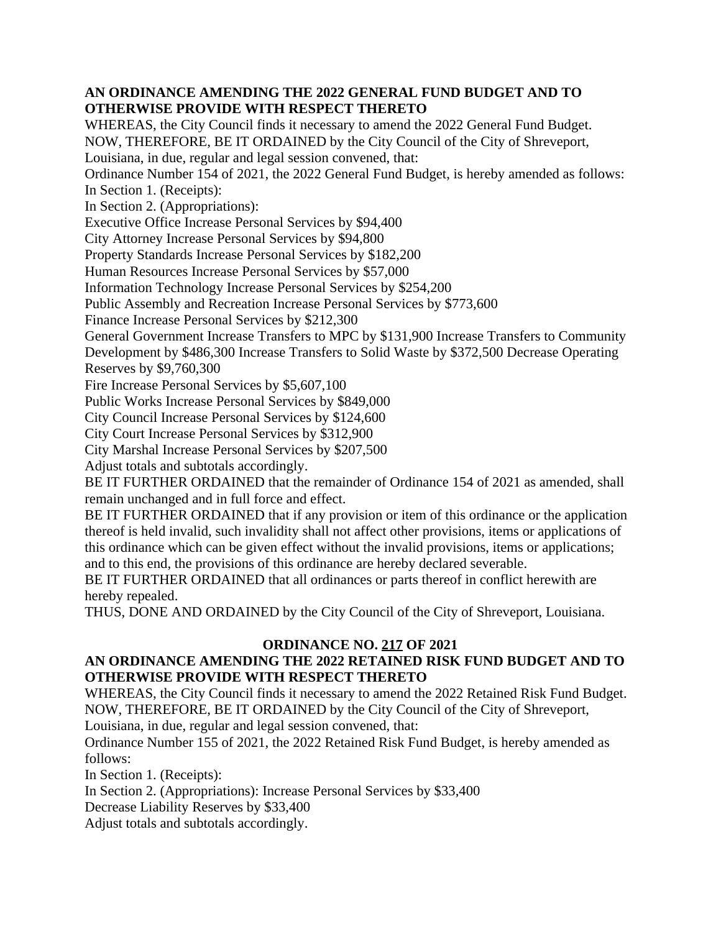## **AN ORDINANCE AMENDING THE 2022 GENERAL FUND BUDGET AND TO OTHERWISE PROVIDE WITH RESPECT THERETO**

WHEREAS, the City Council finds it necessary to amend the 2022 General Fund Budget. NOW, THEREFORE, BE IT ORDAINED by the City Council of the City of Shreveport,

Louisiana, in due, regular and legal session convened, that:

Ordinance Number 154 of 2021, the 2022 General Fund Budget, is hereby amended as follows: In Section 1. (Receipts):

In Section 2. (Appropriations):

Executive Office Increase Personal Services by \$94,400

City Attorney Increase Personal Services by \$94,800

Property Standards Increase Personal Services by \$182,200

Human Resources Increase Personal Services by \$57,000

Information Technology Increase Personal Services by \$254,200

Public Assembly and Recreation Increase Personal Services by \$773,600

Finance Increase Personal Services by \$212,300

General Government Increase Transfers to MPC by \$131,900 Increase Transfers to Community Development by \$486,300 Increase Transfers to Solid Waste by \$372,500 Decrease Operating Reserves by \$9,760,300

Fire Increase Personal Services by \$5,607,100

Public Works Increase Personal Services by \$849,000

City Council Increase Personal Services by \$124,600

City Court Increase Personal Services by \$312,900

City Marshal Increase Personal Services by \$207,500

Adjust totals and subtotals accordingly.

BE IT FURTHER ORDAINED that the remainder of Ordinance 154 of 2021 as amended, shall remain unchanged and in full force and effect.

BE IT FURTHER ORDAINED that if any provision or item of this ordinance or the application thereof is held invalid, such invalidity shall not affect other provisions, items or applications of this ordinance which can be given effect without the invalid provisions, items or applications; and to this end, the provisions of this ordinance are hereby declared severable.

BE IT FURTHER ORDAINED that all ordinances or parts thereof in conflict herewith are hereby repealed.

THUS, DONE AND ORDAINED by the City Council of the City of Shreveport, Louisiana.

## **ORDINANCE NO. 217 OF 2021**

## **AN ORDINANCE AMENDING THE 2022 RETAINED RISK FUND BUDGET AND TO OTHERWISE PROVIDE WITH RESPECT THERETO**

WHEREAS, the City Council finds it necessary to amend the 2022 Retained Risk Fund Budget. NOW, THEREFORE, BE IT ORDAINED by the City Council of the City of Shreveport,

Louisiana, in due, regular and legal session convened, that:

Ordinance Number 155 of 2021, the 2022 Retained Risk Fund Budget, is hereby amended as follows:

In Section 1. (Receipts):

In Section 2. (Appropriations): Increase Personal Services by \$33,400

Decrease Liability Reserves by \$33,400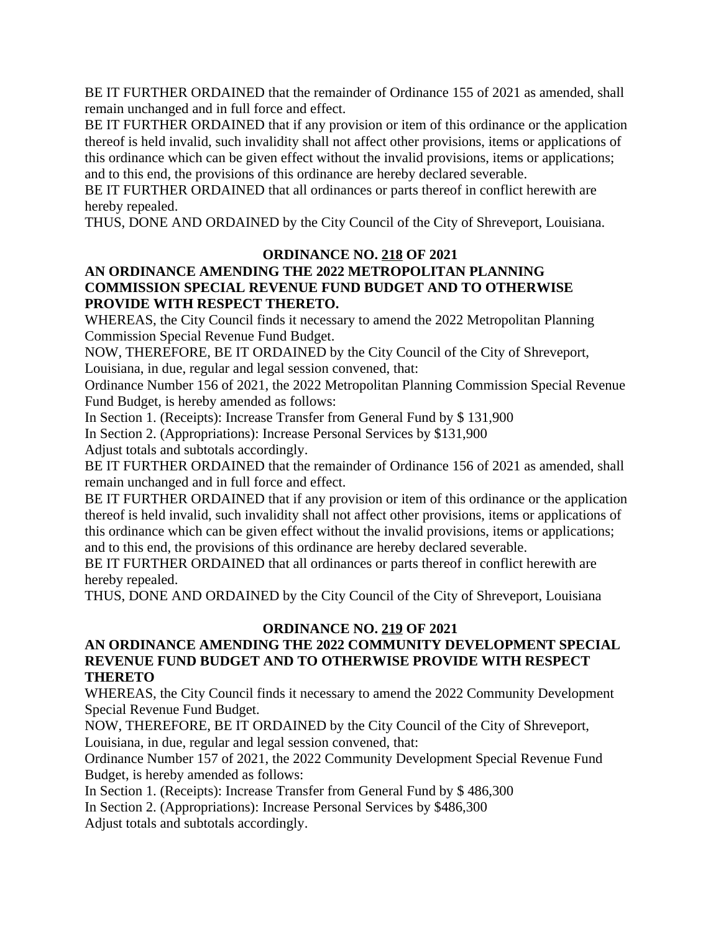BE IT FURTHER ORDAINED that the remainder of Ordinance 155 of 2021 as amended, shall remain unchanged and in full force and effect.

BE IT FURTHER ORDAINED that if any provision or item of this ordinance or the application thereof is held invalid, such invalidity shall not affect other provisions, items or applications of this ordinance which can be given effect without the invalid provisions, items or applications; and to this end, the provisions of this ordinance are hereby declared severable.

BE IT FURTHER ORDAINED that all ordinances or parts thereof in conflict herewith are hereby repealed.

THUS, DONE AND ORDAINED by the City Council of the City of Shreveport, Louisiana.

## **ORDINANCE NO. 218 OF 2021**

## **AN ORDINANCE AMENDING THE 2022 METROPOLITAN PLANNING COMMISSION SPECIAL REVENUE FUND BUDGET AND TO OTHERWISE PROVIDE WITH RESPECT THERETO.**

WHEREAS, the City Council finds it necessary to amend the 2022 Metropolitan Planning Commission Special Revenue Fund Budget.

NOW, THEREFORE, BE IT ORDAINED by the City Council of the City of Shreveport, Louisiana, in due, regular and legal session convened, that:

Ordinance Number 156 of 2021, the 2022 Metropolitan Planning Commission Special Revenue Fund Budget, is hereby amended as follows:

In Section 1. (Receipts): Increase Transfer from General Fund by \$ 131,900

In Section 2. (Appropriations): Increase Personal Services by \$131,900

Adjust totals and subtotals accordingly.

BE IT FURTHER ORDAINED that the remainder of Ordinance 156 of 2021 as amended, shall remain unchanged and in full force and effect.

BE IT FURTHER ORDAINED that if any provision or item of this ordinance or the application thereof is held invalid, such invalidity shall not affect other provisions, items or applications of this ordinance which can be given effect without the invalid provisions, items or applications; and to this end, the provisions of this ordinance are hereby declared severable.

BE IT FURTHER ORDAINED that all ordinances or parts thereof in conflict herewith are hereby repealed.

THUS, DONE AND ORDAINED by the City Council of the City of Shreveport, Louisiana

## **ORDINANCE NO. 219 OF 2021**

## **AN ORDINANCE AMENDING THE 2022 COMMUNITY DEVELOPMENT SPECIAL REVENUE FUND BUDGET AND TO OTHERWISE PROVIDE WITH RESPECT THERETO**

WHEREAS, the City Council finds it necessary to amend the 2022 Community Development Special Revenue Fund Budget.

NOW, THEREFORE, BE IT ORDAINED by the City Council of the City of Shreveport, Louisiana, in due, regular and legal session convened, that:

Ordinance Number 157 of 2021, the 2022 Community Development Special Revenue Fund Budget, is hereby amended as follows:

In Section 1. (Receipts): Increase Transfer from General Fund by \$ 486,300

In Section 2. (Appropriations): Increase Personal Services by \$486,300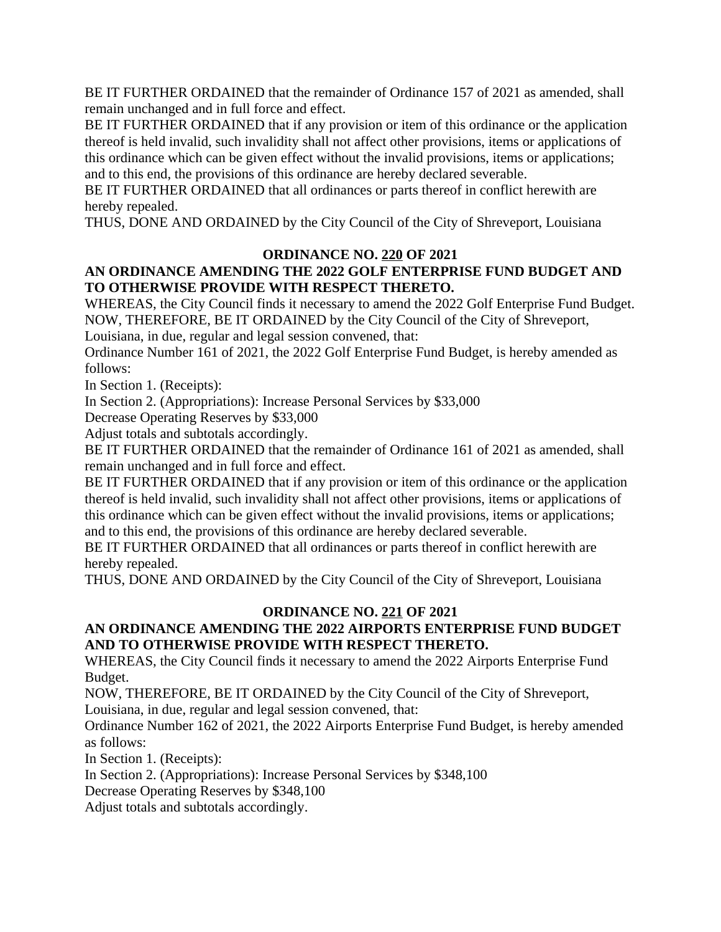BE IT FURTHER ORDAINED that the remainder of Ordinance 157 of 2021 as amended, shall remain unchanged and in full force and effect.

BE IT FURTHER ORDAINED that if any provision or item of this ordinance or the application thereof is held invalid, such invalidity shall not affect other provisions, items or applications of this ordinance which can be given effect without the invalid provisions, items or applications; and to this end, the provisions of this ordinance are hereby declared severable.

BE IT FURTHER ORDAINED that all ordinances or parts thereof in conflict herewith are hereby repealed.

THUS, DONE AND ORDAINED by the City Council of the City of Shreveport, Louisiana

## **ORDINANCE NO. 220 OF 2021**

## **AN ORDINANCE AMENDING THE 2022 GOLF ENTERPRISE FUND BUDGET AND TO OTHERWISE PROVIDE WITH RESPECT THERETO.**

WHEREAS, the City Council finds it necessary to amend the 2022 Golf Enterprise Fund Budget. NOW, THEREFORE, BE IT ORDAINED by the City Council of the City of Shreveport,

Louisiana, in due, regular and legal session convened, that:

Ordinance Number 161 of 2021, the 2022 Golf Enterprise Fund Budget, is hereby amended as follows:

In Section 1. (Receipts):

In Section 2. (Appropriations): Increase Personal Services by \$33,000

Decrease Operating Reserves by \$33,000

Adjust totals and subtotals accordingly.

BE IT FURTHER ORDAINED that the remainder of Ordinance 161 of 2021 as amended, shall remain unchanged and in full force and effect.

BE IT FURTHER ORDAINED that if any provision or item of this ordinance or the application thereof is held invalid, such invalidity shall not affect other provisions, items or applications of this ordinance which can be given effect without the invalid provisions, items or applications; and to this end, the provisions of this ordinance are hereby declared severable.

BE IT FURTHER ORDAINED that all ordinances or parts thereof in conflict herewith are hereby repealed.

THUS, DONE AND ORDAINED by the City Council of the City of Shreveport, Louisiana

## **ORDINANCE NO. 221 OF 2021**

## **AN ORDINANCE AMENDING THE 2022 AIRPORTS ENTERPRISE FUND BUDGET AND TO OTHERWISE PROVIDE WITH RESPECT THERETO.**

WHEREAS, the City Council finds it necessary to amend the 2022 Airports Enterprise Fund Budget.

NOW, THEREFORE, BE IT ORDAINED by the City Council of the City of Shreveport, Louisiana, in due, regular and legal session convened, that:

Ordinance Number 162 of 2021, the 2022 Airports Enterprise Fund Budget, is hereby amended as follows:

In Section 1. (Receipts):

In Section 2. (Appropriations): Increase Personal Services by \$348,100

Decrease Operating Reserves by \$348,100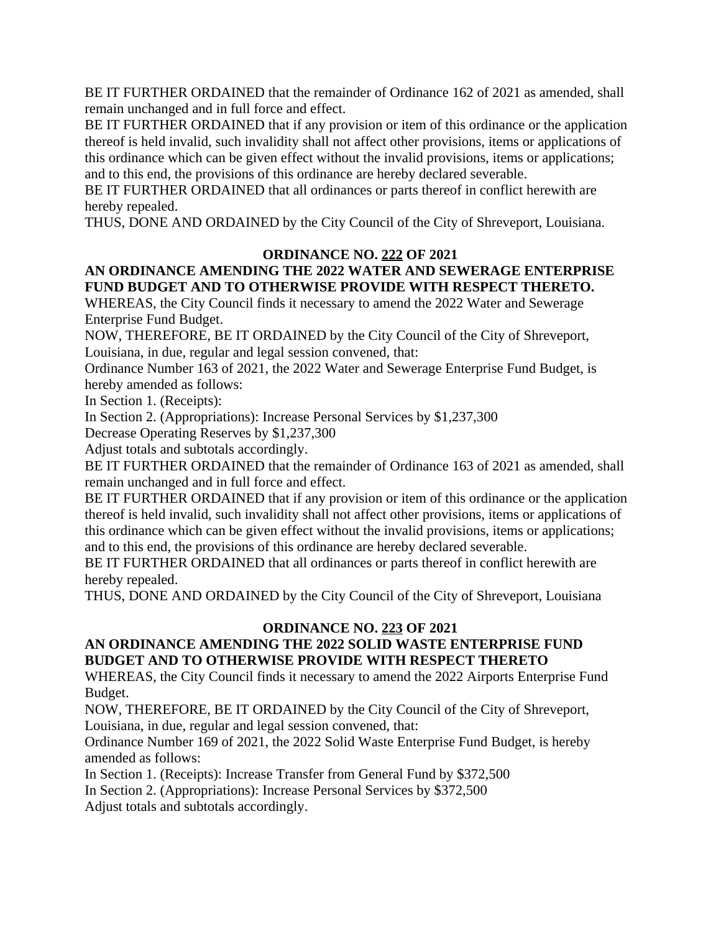BE IT FURTHER ORDAINED that the remainder of Ordinance 162 of 2021 as amended, shall remain unchanged and in full force and effect.

BE IT FURTHER ORDAINED that if any provision or item of this ordinance or the application thereof is held invalid, such invalidity shall not affect other provisions, items or applications of this ordinance which can be given effect without the invalid provisions, items or applications; and to this end, the provisions of this ordinance are hereby declared severable.

BE IT FURTHER ORDAINED that all ordinances or parts thereof in conflict herewith are hereby repealed.

THUS, DONE AND ORDAINED by the City Council of the City of Shreveport, Louisiana.

## **ORDINANCE NO. 222 OF 2021**

# **AN ORDINANCE AMENDING THE 2022 WATER AND SEWERAGE ENTERPRISE FUND BUDGET AND TO OTHERWISE PROVIDE WITH RESPECT THERETO.**

WHEREAS, the City Council finds it necessary to amend the 2022 Water and Sewerage Enterprise Fund Budget.

NOW, THEREFORE, BE IT ORDAINED by the City Council of the City of Shreveport, Louisiana, in due, regular and legal session convened, that:

Ordinance Number 163 of 2021, the 2022 Water and Sewerage Enterprise Fund Budget, is hereby amended as follows:

In Section 1. (Receipts):

In Section 2. (Appropriations): Increase Personal Services by \$1,237,300

Decrease Operating Reserves by \$1,237,300

Adjust totals and subtotals accordingly.

BE IT FURTHER ORDAINED that the remainder of Ordinance 163 of 2021 as amended, shall remain unchanged and in full force and effect.

BE IT FURTHER ORDAINED that if any provision or item of this ordinance or the application thereof is held invalid, such invalidity shall not affect other provisions, items or applications of this ordinance which can be given effect without the invalid provisions, items or applications; and to this end, the provisions of this ordinance are hereby declared severable.

BE IT FURTHER ORDAINED that all ordinances or parts thereof in conflict herewith are hereby repealed.

THUS, DONE AND ORDAINED by the City Council of the City of Shreveport, Louisiana

## **ORDINANCE NO. 223 OF 2021**

# **AN ORDINANCE AMENDING THE 2022 SOLID WASTE ENTERPRISE FUND BUDGET AND TO OTHERWISE PROVIDE WITH RESPECT THERETO**

WHEREAS, the City Council finds it necessary to amend the 2022 Airports Enterprise Fund Budget.

NOW, THEREFORE, BE IT ORDAINED by the City Council of the City of Shreveport, Louisiana, in due, regular and legal session convened, that:

Ordinance Number 169 of 2021, the 2022 Solid Waste Enterprise Fund Budget, is hereby amended as follows:

In Section 1. (Receipts): Increase Transfer from General Fund by \$372,500

In Section 2. (Appropriations): Increase Personal Services by \$372,500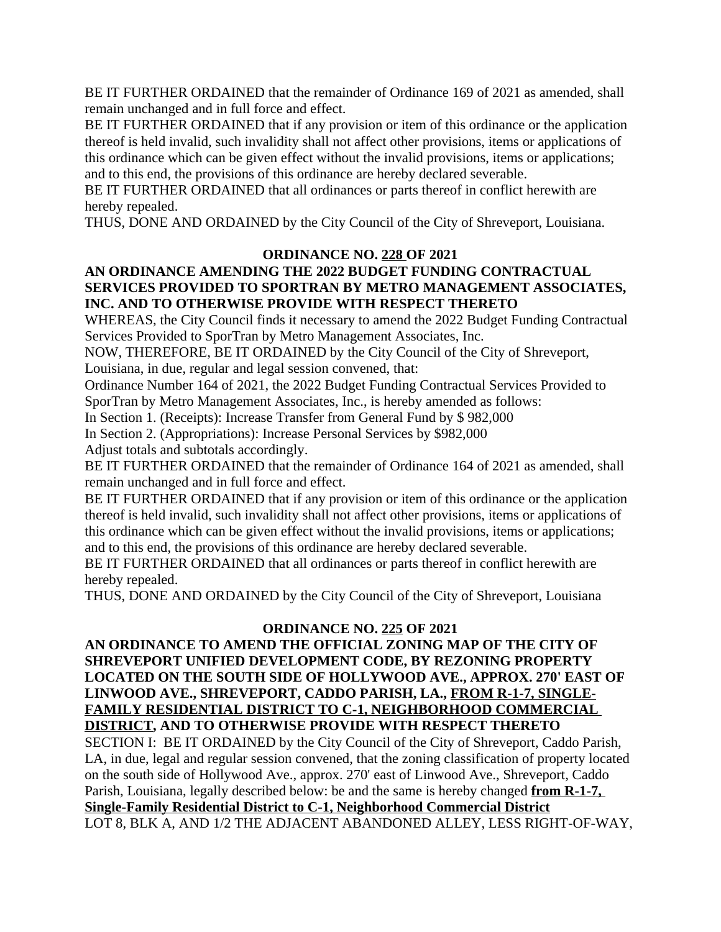BE IT FURTHER ORDAINED that the remainder of Ordinance 169 of 2021 as amended, shall remain unchanged and in full force and effect.

BE IT FURTHER ORDAINED that if any provision or item of this ordinance or the application thereof is held invalid, such invalidity shall not affect other provisions, items or applications of this ordinance which can be given effect without the invalid provisions, items or applications; and to this end, the provisions of this ordinance are hereby declared severable.

BE IT FURTHER ORDAINED that all ordinances or parts thereof in conflict herewith are hereby repealed.

THUS, DONE AND ORDAINED by the City Council of the City of Shreveport, Louisiana.

#### **ORDINANCE NO. 228 OF 2021**

## **AN ORDINANCE AMENDING THE 2022 BUDGET FUNDING CONTRACTUAL SERVICES PROVIDED TO SPORTRAN BY METRO MANAGEMENT ASSOCIATES, INC. AND TO OTHERWISE PROVIDE WITH RESPECT THERETO**

WHEREAS, the City Council finds it necessary to amend the 2022 Budget Funding Contractual Services Provided to SporTran by Metro Management Associates, Inc.

NOW, THEREFORE, BE IT ORDAINED by the City Council of the City of Shreveport, Louisiana, in due, regular and legal session convened, that:

Ordinance Number 164 of 2021, the 2022 Budget Funding Contractual Services Provided to SporTran by Metro Management Associates, Inc., is hereby amended as follows:

In Section 1. (Receipts): Increase Transfer from General Fund by \$ 982,000

In Section 2. (Appropriations): Increase Personal Services by \$982,000

Adjust totals and subtotals accordingly.

BE IT FURTHER ORDAINED that the remainder of Ordinance 164 of 2021 as amended, shall remain unchanged and in full force and effect.

BE IT FURTHER ORDAINED that if any provision or item of this ordinance or the application thereof is held invalid, such invalidity shall not affect other provisions, items or applications of this ordinance which can be given effect without the invalid provisions, items or applications; and to this end, the provisions of this ordinance are hereby declared severable.

BE IT FURTHER ORDAINED that all ordinances or parts thereof in conflict herewith are hereby repealed.

THUS, DONE AND ORDAINED by the City Council of the City of Shreveport, Louisiana

## **ORDINANCE NO. 225 OF 2021**

**AN ORDINANCE TO AMEND THE OFFICIAL ZONING MAP OF THE CITY OF SHREVEPORT UNIFIED DEVELOPMENT CODE, BY REZONING PROPERTY LOCATED ON THE SOUTH SIDE OF HOLLYWOOD AVE., APPROX. 270' EAST OF LINWOOD AVE., SHREVEPORT, CADDO PARISH, LA., FROM R-1-7, SINGLE-FAMILY RESIDENTIAL DISTRICT TO C-1, NEIGHBORHOOD COMMERCIAL DISTRICT, AND TO OTHERWISE PROVIDE WITH RESPECT THERETO**

SECTION I: BE IT ORDAINED by the City Council of the City of Shreveport, Caddo Parish, LA, in due, legal and regular session convened, that the zoning classification of property located on the south side of Hollywood Ave., approx. 270' east of Linwood Ave., Shreveport, Caddo Parish, Louisiana, legally described below: be and the same is hereby changed **from R-1-7, Single-Family Residential District to C-1, Neighborhood Commercial District** LOT 8, BLK A, AND 1/2 THE ADJACENT ABANDONED ALLEY, LESS RIGHT-OF-WAY,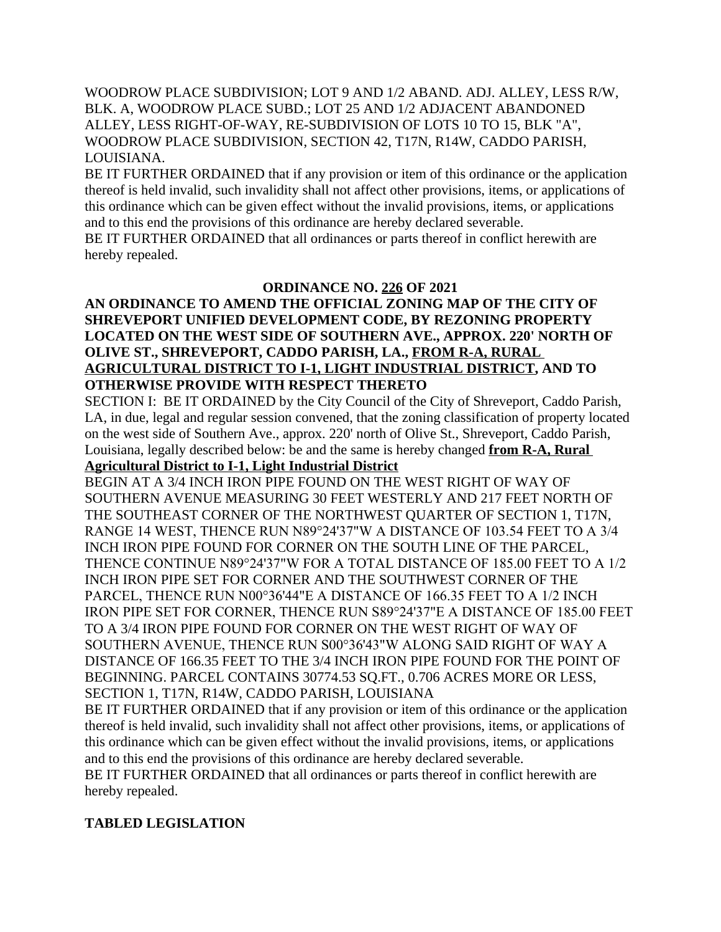WOODROW PLACE SUBDIVISION; LOT 9 AND 1/2 ABAND. ADJ. ALLEY, LESS R/W, BLK. A, WOODROW PLACE SUBD.; LOT 25 AND 1/2 ADJACENT ABANDONED ALLEY, LESS RIGHT-OF-WAY, RE-SUBDIVISION OF LOTS 10 TO 15, BLK "A", WOODROW PLACE SUBDIVISION, SECTION 42, T17N, R14W, CADDO PARISH, LOUISIANA.

BE IT FURTHER ORDAINED that if any provision or item of this ordinance or the application thereof is held invalid, such invalidity shall not affect other provisions, items, or applications of this ordinance which can be given effect without the invalid provisions, items, or applications and to this end the provisions of this ordinance are hereby declared severable.

BE IT FURTHER ORDAINED that all ordinances or parts thereof in conflict herewith are hereby repealed.

#### **ORDINANCE NO. 226 OF 2021**

## **AN ORDINANCE TO AMEND THE OFFICIAL ZONING MAP OF THE CITY OF SHREVEPORT UNIFIED DEVELOPMENT CODE, BY REZONING PROPERTY LOCATED ON THE WEST SIDE OF SOUTHERN AVE., APPROX. 220' NORTH OF OLIVE ST., SHREVEPORT, CADDO PARISH, LA., FROM R-A, RURAL AGRICULTURAL DISTRICT TO I-1, LIGHT INDUSTRIAL DISTRICT, AND TO OTHERWISE PROVIDE WITH RESPECT THERETO**

SECTION I: BE IT ORDAINED by the City Council of the City of Shreveport, Caddo Parish, LA, in due, legal and regular session convened, that the zoning classification of property located on the west side of Southern Ave., approx. 220' north of Olive St., Shreveport, Caddo Parish, Louisiana, legally described below: be and the same is hereby changed **from R-A, Rural Agricultural District to I-1, Light Industrial District**

BEGIN AT A 3/4 INCH IRON PIPE FOUND ON THE WEST RIGHT OF WAY OF SOUTHERN AVENUE MEASURING 30 FEET WESTERLY AND 217 FEET NORTH OF THE SOUTHEAST CORNER OF THE NORTHWEST QUARTER OF SECTION 1, T17N, RANGE 14 WEST, THENCE RUN N89°24'37"W A DISTANCE OF 103.54 FEET TO A 3/4 INCH IRON PIPE FOUND FOR CORNER ON THE SOUTH LINE OF THE PARCEL, THENCE CONTINUE N89°24'37"W FOR A TOTAL DISTANCE OF 185.00 FEET TO A 1/2 INCH IRON PIPE SET FOR CORNER AND THE SOUTHWEST CORNER OF THE PARCEL, THENCE RUN N00°36'44"E A DISTANCE OF 166.35 FEET TO A 1/2 INCH IRON PIPE SET FOR CORNER, THENCE RUN S89°24'37"E A DISTANCE OF 185.00 FEET TO A 3/4 IRON PIPE FOUND FOR CORNER ON THE WEST RIGHT OF WAY OF SOUTHERN AVENUE, THENCE RUN S00°36'43"W ALONG SAID RIGHT OF WAY A DISTANCE OF 166.35 FEET TO THE 3/4 INCH IRON PIPE FOUND FOR THE POINT OF BEGINNING. PARCEL CONTAINS 30774.53 SQ.FT., 0.706 ACRES MORE OR LESS, SECTION 1, T17N, R14W, CADDO PARISH, LOUISIANA

BE IT FURTHER ORDAINED that if any provision or item of this ordinance or the application thereof is held invalid, such invalidity shall not affect other provisions, items, or applications of this ordinance which can be given effect without the invalid provisions, items, or applications and to this end the provisions of this ordinance are hereby declared severable.

BE IT FURTHER ORDAINED that all ordinances or parts thereof in conflict herewith are hereby repealed.

## **TABLED LEGISLATION**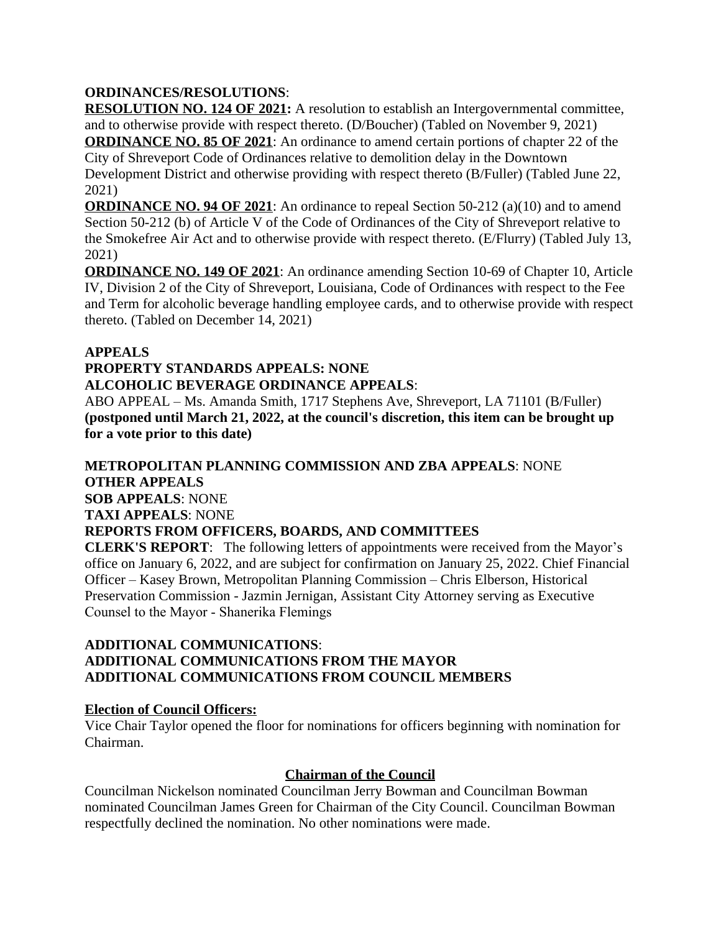## **ORDINANCES/RESOLUTIONS**:

**RESOLUTION NO. 124 OF 2021:** A resolution to establish an Intergovernmental committee, and to otherwise provide with respect thereto. (D/Boucher) (Tabled on November 9, 2021)

**ORDINANCE NO. 85 OF 2021:** An ordinance to amend certain portions of chapter 22 of the City of Shreveport Code of Ordinances relative to demolition delay in the Downtown Development District and otherwise providing with respect thereto (B/Fuller) (Tabled June 22, 2021)

**ORDINANCE NO. 94 OF 2021**: An ordinance to repeal Section 50-212 (a)(10) and to amend Section 50-212 (b) of Article V of the Code of Ordinances of the City of Shreveport relative to the Smokefree Air Act and to otherwise provide with respect thereto. (E/Flurry) (Tabled July 13, 2021)

**ORDINANCE NO. 149 OF 2021**: An ordinance amending Section 10-69 of Chapter 10, Article IV, Division 2 of the City of Shreveport, Louisiana, Code of Ordinances with respect to the Fee and Term for alcoholic beverage handling employee cards, and to otherwise provide with respect thereto. (Tabled on December 14, 2021)

#### **APPEALS**

#### **PROPERTY STANDARDS APPEALS: NONE ALCOHOLIC BEVERAGE ORDINANCE APPEALS**:

ABO APPEAL – Ms. Amanda Smith, 1717 Stephens Ave, Shreveport, LA 71101 (B/Fuller) **(postponed until March 21, 2022, at the council's discretion, this item can be brought up for a vote prior to this date)**

**METROPOLITAN PLANNING COMMISSION AND ZBA APPEALS**: NONE **OTHER APPEALS SOB APPEALS**: NONE **TAXI APPEALS**: NONE

#### **REPORTS FROM OFFICERS, BOARDS, AND COMMITTEES**

**CLERK'S REPORT**: The following letters of appointments were received from the Mayor's office on January 6, 2022, and are subject for confirmation on January 25, 2022. Chief Financial Officer – Kasey Brown, Metropolitan Planning Commission – Chris Elberson, Historical Preservation Commission - Jazmin Jernigan, Assistant City Attorney serving as Executive Counsel to the Mayor - Shanerika Flemings

### **ADDITIONAL COMMUNICATIONS**: **ADDITIONAL COMMUNICATIONS FROM THE MAYOR ADDITIONAL COMMUNICATIONS FROM COUNCIL MEMBERS**

#### **Election of Council Officers:**

Vice Chair Taylor opened the floor for nominations for officers beginning with nomination for Chairman.

## **Chairman of the Council**

Councilman Nickelson nominated Councilman Jerry Bowman and Councilman Bowman nominated Councilman James Green for Chairman of the City Council. Councilman Bowman respectfully declined the nomination. No other nominations were made.